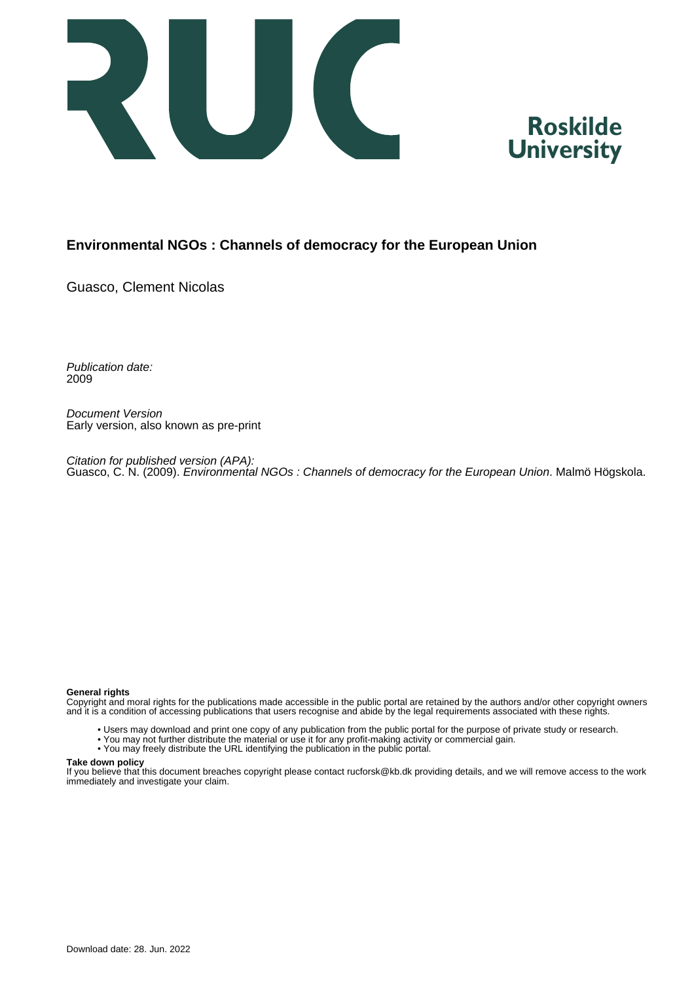



#### **Environmental NGOs : Channels of democracy for the European Union**

Guasco, Clement Nicolas

Publication date: 2009

Document Version Early version, also known as pre-print

Citation for published version (APA): Guasco, C. N. (2009). *Environmental NGOs : Channels of democracy for the European Union.* Malmö Högskola.

#### **General rights**

Copyright and moral rights for the publications made accessible in the public portal are retained by the authors and/or other copyright owners and it is a condition of accessing publications that users recognise and abide by the legal requirements associated with these rights.

- Users may download and print one copy of any publication from the public portal for the purpose of private study or research.
- You may not further distribute the material or use it for any profit-making activity or commercial gain.
- You may freely distribute the URL identifying the publication in the public portal.

#### **Take down policy**

If you believe that this document breaches copyright please contact rucforsk@kb.dk providing details, and we will remove access to the work immediately and investigate your claim.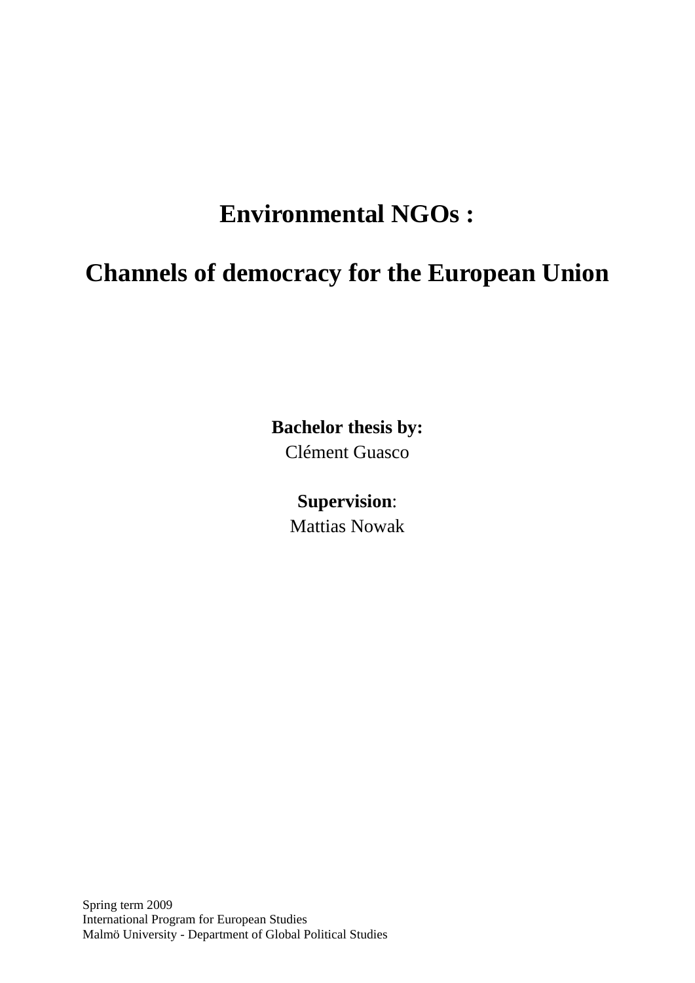# **Environmental NGOs :**

## **Channels of democracy for the European Union**

**Bachelor thesis by:** 

Clément Guasco

## **Supervision**:

Mattias Nowak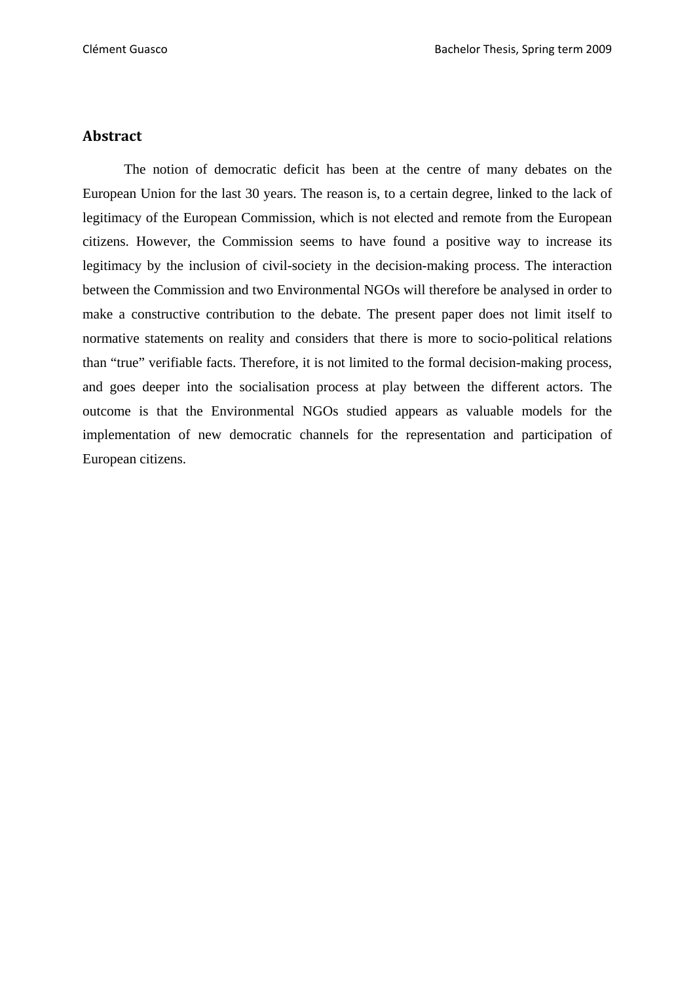#### **Abstract**

The notion of democratic deficit has been at the centre of many debates on the European Union for the last 30 years. The reason is, to a certain degree, linked to the lack of legitimacy of the European Commission, which is not elected and remote from the European citizens. However, the Commission seems to have found a positive way to increase its legitimacy by the inclusion of civil-society in the decision-making process. The interaction between the Commission and two Environmental NGOs will therefore be analysed in order to make a constructive contribution to the debate. The present paper does not limit itself to normative statements on reality and considers that there is more to socio-political relations than "true" verifiable facts. Therefore, it is not limited to the formal decision-making process, and goes deeper into the socialisation process at play between the different actors. The outcome is that the Environmental NGOs studied appears as valuable models for the implementation of new democratic channels for the representation and participation of European citizens.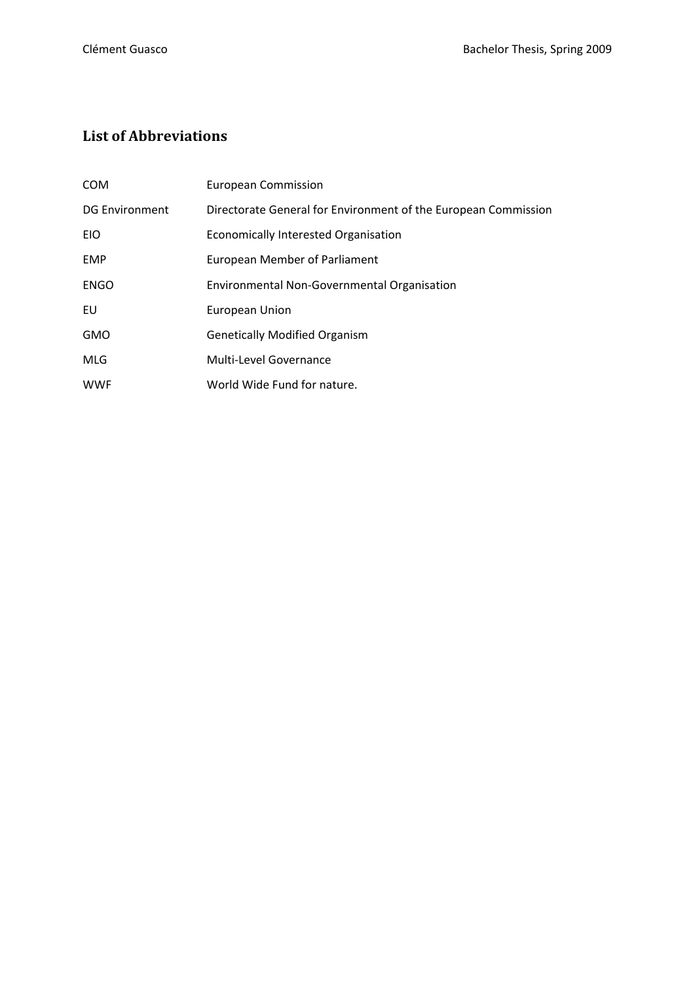### **List of Abbreviations**

| <b>COM</b>            | <b>European Commission</b>                                     |
|-----------------------|----------------------------------------------------------------|
| <b>DG Environment</b> | Directorate General for Environment of the European Commission |
| EIO                   | <b>Economically Interested Organisation</b>                    |
| <b>EMP</b>            | <b>European Member of Parliament</b>                           |
| ENGO                  | Environmental Non-Governmental Organisation                    |
| EU                    | <b>European Union</b>                                          |
| <b>GMO</b>            | <b>Genetically Modified Organism</b>                           |
| <b>MLG</b>            | Multi-Level Governance                                         |
| <b>WWF</b>            | World Wide Fund for nature.                                    |
|                       |                                                                |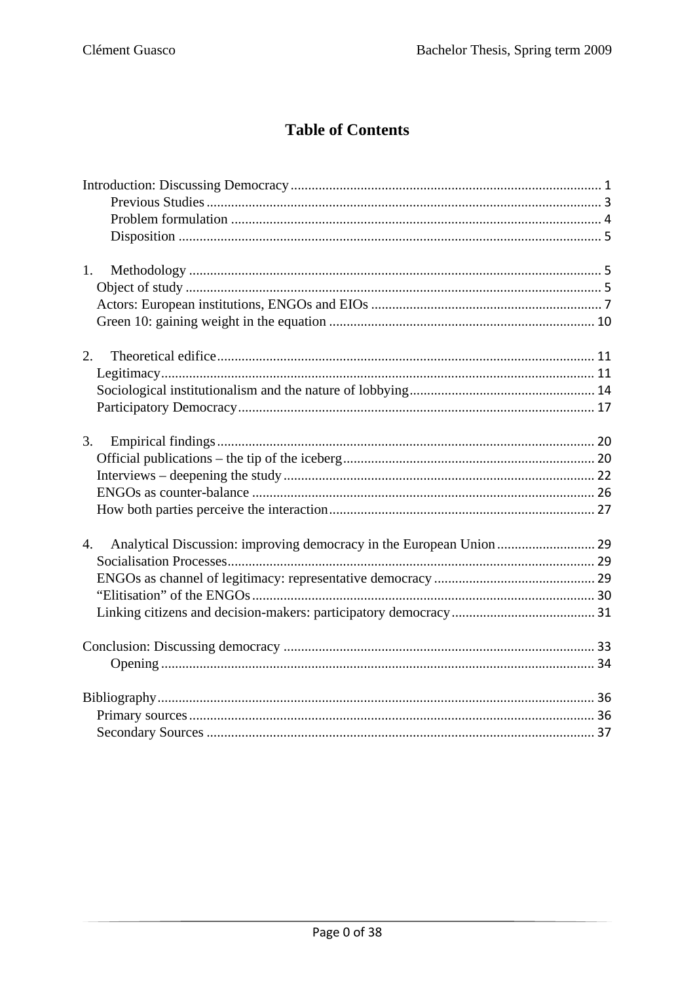## **Table of Contents**

| 1. |  |
|----|--|
|    |  |
|    |  |
|    |  |
| 2. |  |
|    |  |
|    |  |
|    |  |
| 3. |  |
|    |  |
|    |  |
|    |  |
|    |  |
| 4. |  |
|    |  |
|    |  |
|    |  |
|    |  |
|    |  |
|    |  |
|    |  |
|    |  |
|    |  |
|    |  |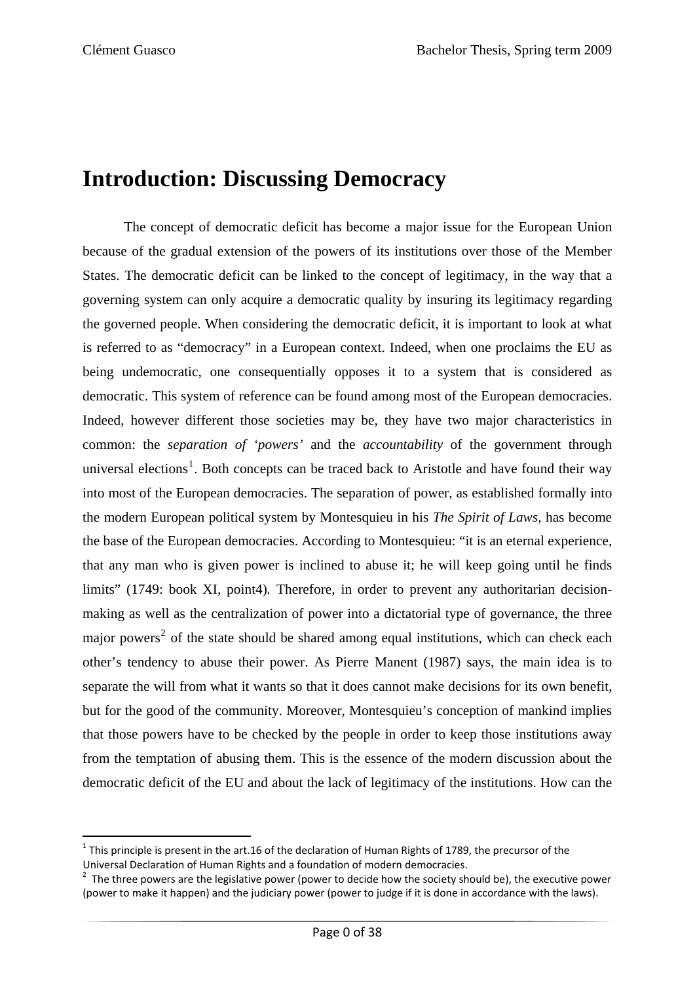## **Introduction: Discussing Democracy**

The concept of democratic deficit has become a major issue for the European Union because of the gradual extension of the powers of its institutions over those of the Member States. The democratic deficit can be linked to the concept of legitimacy, in the way that a governing system can only acquire a democratic quality by insuring its legitimacy regarding the governed people. When considering the democratic deficit, it is important to look at what is referred to as "democracy" in a European context. Indeed, when one proclaims the EU as being undemocratic, one consequentially opposes it to a system that is considered as democratic. This system of reference can be found among most of the European democracies. Indeed, however different those societies may be, they have two major characteristics in common: the *separation of 'powers'* and the *accountability* of the government through universal elections<sup>[1](#page-5-0)</sup>. Both concepts can be traced back to Aristotle and have found their way into most of the European democracies. The separation of power, as established formally into the modern European political system by Montesquieu in his *The Spirit of Laws*, has become the base of the European democracies. According to Montesquieu: "it is an eternal experience, that any man who is given power is inclined to abuse it; he will keep going until he finds limits" (1749: book XI, point4). Therefore, in order to prevent any authoritarian decisionmaking as well as the centralization of power into a dictatorial type of governance, the three major powers<sup>[2](#page-5-1)</sup> of the state should be shared among equal institutions, which can check each other's tendency to abuse their power. As Pierre Manent (1987) says, the main idea is to separate the will from what it wants so that it does cannot make decisions for its own benefit, but for the good of the community. Moreover, Montesquieu's conception of mankind implies that those powers have to be checked by the people in order to keep those institutions away from the temptation of abusing them. This is the essence of the modern discussion about the democratic deficit of the EU and about the lack of legitimacy of the institutions. How can the

<span id="page-5-0"></span>  $1$  This principle is present in the art.16 of the declaration of Human Rights of 1789, the precursor of the Universal Declaration of Human Rights and <sup>a</sup> foundation of modern democracies. <sup>2</sup>

<span id="page-5-1"></span> $2$  The three powers are the legislative power (power to decide how the society should be), the executive power (power to make it happen) and the judiciary power (power to judge if it is done in accordance with the laws).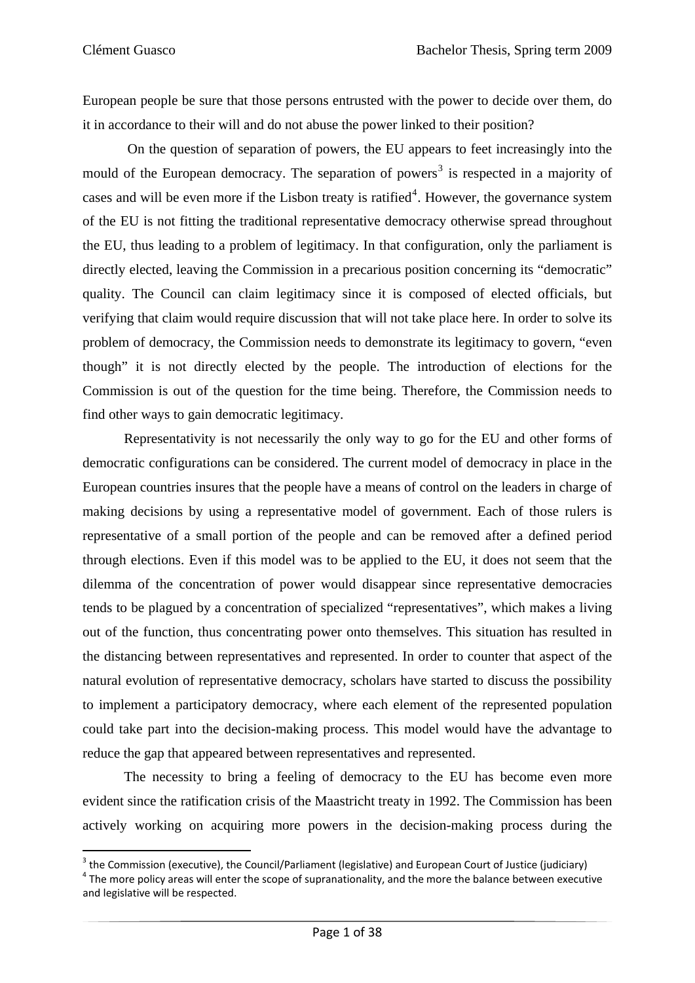European people be sure that those persons entrusted with the power to decide over them, do it in accordance to their will and do not abuse the power linked to their position?

 On the question of separation of powers, the EU appears to feet increasingly into the mould of the European democracy. The separation of powers<sup>[3](#page-6-0)</sup> is respected in a majority of cases and will be even more if the Lisbon treaty is ratified<sup>[4](#page-6-1)</sup>. However, the governance system of the EU is not fitting the traditional representative democracy otherwise spread throughout the EU, thus leading to a problem of legitimacy. In that configuration, only the parliament is directly elected, leaving the Commission in a precarious position concerning its "democratic" quality. The Council can claim legitimacy since it is composed of elected officials, but verifying that claim would require discussion that will not take place here. In order to solve its problem of democracy, the Commission needs to demonstrate its legitimacy to govern, "even though" it is not directly elected by the people. The introduction of elections for the Commission is out of the question for the time being. Therefore, the Commission needs to find other ways to gain democratic legitimacy.

Representativity is not necessarily the only way to go for the EU and other forms of democratic configurations can be considered. The current model of democracy in place in the European countries insures that the people have a means of control on the leaders in charge of making decisions by using a representative model of government. Each of those rulers is representative of a small portion of the people and can be removed after a defined period through elections. Even if this model was to be applied to the EU, it does not seem that the dilemma of the concentration of power would disappear since representative democracies tends to be plagued by a concentration of specialized "representatives", which makes a living out of the function, thus concentrating power onto themselves. This situation has resulted in the distancing between representatives and represented. In order to counter that aspect of the natural evolution of representative democracy, scholars have started to discuss the possibility to implement a participatory democracy, where each element of the represented population could take part into the decision-making process. This model would have the advantage to reduce the gap that appeared between representatives and represented.

 The necessity to bring a feeling of democracy to the EU has become even more evident since the ratification crisis of the Maastricht treaty in 1992. The Commission has been actively working on acquiring more powers in the decision-making process during the

<span id="page-6-0"></span><sup>&</sup>lt;sup>3</sup> the Commission (executive), the Council/Parliament (legislative) and European Court of Justice (judiciary)

<span id="page-6-1"></span> $3$  The more policy areas will enter the scope of supranationality, and the more the balance between executive and legislative will be respected.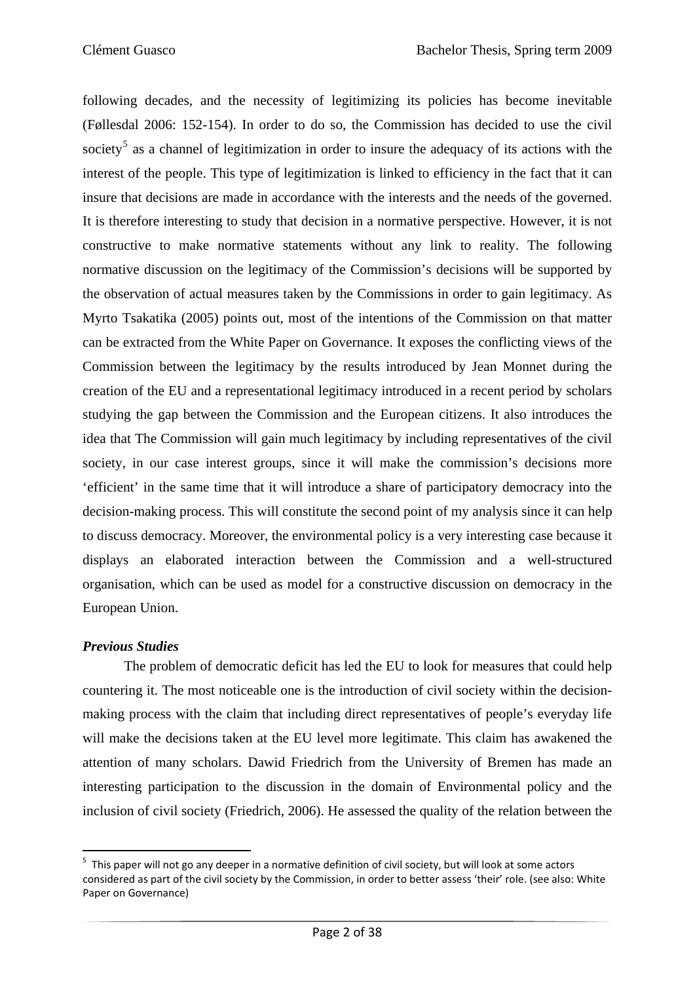following decades, and the necessity of legitimizing its policies has become inevitable (Føllesdal 2006: 152-154). In order to do so, the Commission has decided to use the civil society<sup>[5](#page-7-0)</sup> as a channel of legitimization in order to insure the adequacy of its actions with the interest of the people. This type of legitimization is linked to efficiency in the fact that it can insure that decisions are made in accordance with the interests and the needs of the governed. It is therefore interesting to study that decision in a normative perspective. However, it is not constructive to make normative statements without any link to reality. The following normative discussion on the legitimacy of the Commission's decisions will be supported by the observation of actual measures taken by the Commissions in order to gain legitimacy. As Myrto Tsakatika (2005) points out, most of the intentions of the Commission on that matter can be extracted from the White Paper on Governance. It exposes the conflicting views of the Commission between the legitimacy by the results introduced by Jean Monnet during the creation of the EU and a representational legitimacy introduced in a recent period by scholars studying the gap between the Commission and the European citizens. It also introduces the idea that The Commission will gain much legitimacy by including representatives of the civil society, in our case interest groups, since it will make the commission's decisions more 'efficient' in the same time that it will introduce a share of participatory democracy into the decision-making process. This will constitute the second point of my analysis since it can help to discuss democracy. Moreover, the environmental policy is a very interesting case because it displays an elaborated interaction between the Commission and a well-structured organisation, which can be used as model for a constructive discussion on democracy in the European Union.

#### *Previous Studies*

The problem of democratic deficit has led the EU to look for measures that could help countering it. The most noticeable one is the introduction of civil society within the decisionmaking process with the claim that including direct representatives of people's everyday life will make the decisions taken at the EU level more legitimate. This claim has awakened the attention of many scholars. Dawid Friedrich from the University of Bremen has made an interesting participation to the discussion in the domain of Environmental policy and the inclusion of civil society (Friedrich, 2006). He assessed the quality of the relation between the

<span id="page-7-0"></span><sup>&</sup>lt;sup>5</sup> This paper will not go any deeper in a normative definition of civil society, but will look at some actors considered as part of the civil society by the Commission, in order to better assess 'their' role. (see also: White Paper on Governance)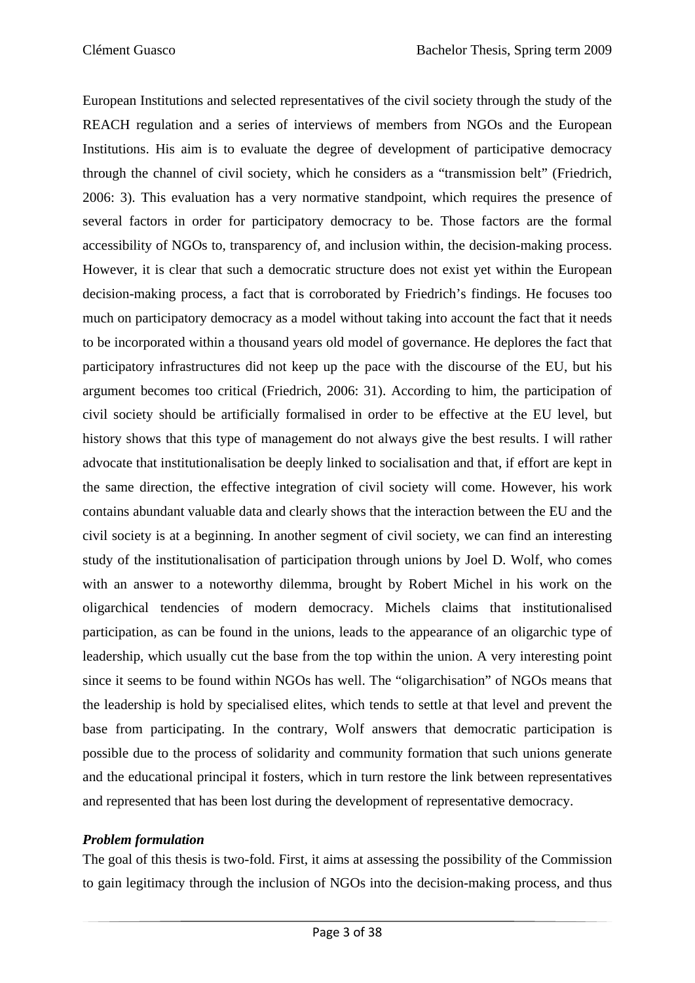European Institutions and selected representatives of the civil society through the study of the REACH regulation and a series of interviews of members from NGOs and the European Institutions. His aim is to evaluate the degree of development of participative democracy through the channel of civil society, which he considers as a "transmission belt" (Friedrich, 2006: 3). This evaluation has a very normative standpoint, which requires the presence of several factors in order for participatory democracy to be. Those factors are the formal accessibility of NGOs to, transparency of, and inclusion within, the decision-making process. However, it is clear that such a democratic structure does not exist yet within the European decision-making process, a fact that is corroborated by Friedrich's findings. He focuses too much on participatory democracy as a model without taking into account the fact that it needs to be incorporated within a thousand years old model of governance. He deplores the fact that participatory infrastructures did not keep up the pace with the discourse of the EU, but his argument becomes too critical (Friedrich, 2006: 31). According to him, the participation of civil society should be artificially formalised in order to be effective at the EU level, but history shows that this type of management do not always give the best results. I will rather advocate that institutionalisation be deeply linked to socialisation and that, if effort are kept in the same direction, the effective integration of civil society will come. However, his work contains abundant valuable data and clearly shows that the interaction between the EU and the civil society is at a beginning. In another segment of civil society, we can find an interesting study of the institutionalisation of participation through unions by Joel D. Wolf, who comes with an answer to a noteworthy dilemma, brought by Robert Michel in his work on the oligarchical tendencies of modern democracy. Michels claims that institutionalised participation, as can be found in the unions, leads to the appearance of an oligarchic type of leadership, which usually cut the base from the top within the union. A very interesting point since it seems to be found within NGOs has well. The "oligarchisation" of NGOs means that the leadership is hold by specialised elites, which tends to settle at that level and prevent the base from participating. In the contrary, Wolf answers that democratic participation is possible due to the process of solidarity and community formation that such unions generate and the educational principal it fosters, which in turn restore the link between representatives and represented that has been lost during the development of representative democracy.

#### *Problem formulation*

The goal of this thesis is two-fold. First, it aims at assessing the possibility of the Commission to gain legitimacy through the inclusion of NGOs into the decision-making process, and thus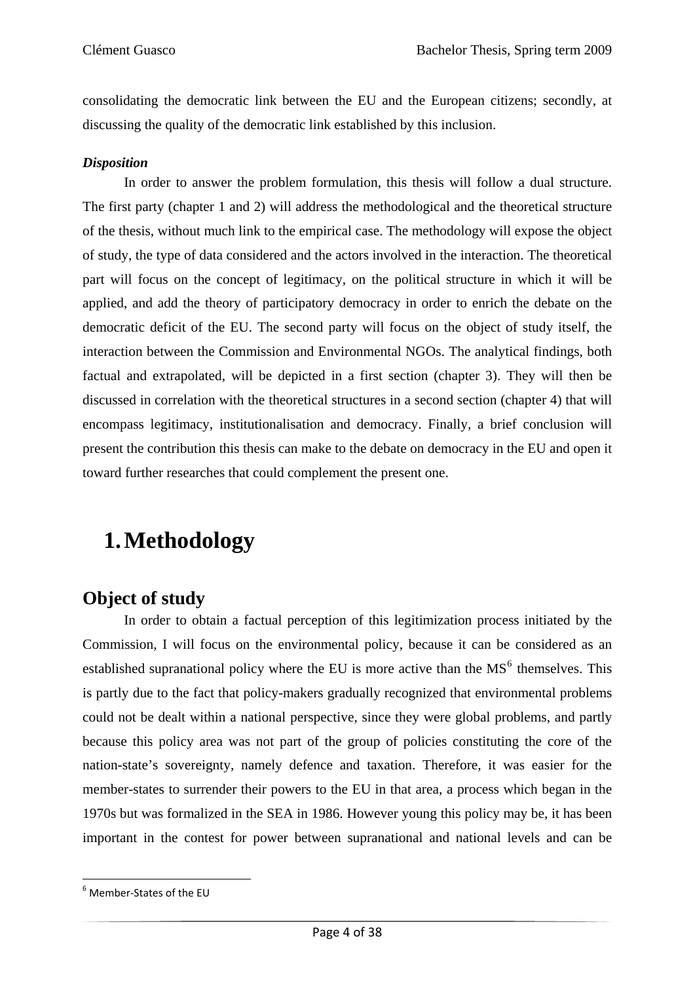consolidating the democratic link between the EU and the European citizens; secondly, at discussing the quality of the democratic link established by this inclusion.

#### *Disposition*

In order to answer the problem formulation, this thesis will follow a dual structure. The first party (chapter 1 and 2) will address the methodological and the theoretical structure of the thesis, without much link to the empirical case. The methodology will expose the object of study, the type of data considered and the actors involved in the interaction. The theoretical part will focus on the concept of legitimacy, on the political structure in which it will be applied, and add the theory of participatory democracy in order to enrich the debate on the democratic deficit of the EU. The second party will focus on the object of study itself, the interaction between the Commission and Environmental NGOs. The analytical findings, both factual and extrapolated, will be depicted in a first section (chapter 3). They will then be discussed in correlation with the theoretical structures in a second section (chapter 4) that will encompass legitimacy, institutionalisation and democracy. Finally, a brief conclusion will present the contribution this thesis can make to the debate on democracy in the EU and open it toward further researches that could complement the present one.

## **1.Methodology**

### **Object of study**

In order to obtain a factual perception of this legitimization process initiated by the Commission, I will focus on the environmental policy, because it can be considered as an established supranational policy where the EU is more active than the  $MS<sup>6</sup>$  $MS<sup>6</sup>$  $MS<sup>6</sup>$  themselves. This is partly due to the fact that policy-makers gradually recognized that environmental problems could not be dealt within a national perspective, since they were global problems, and partly because this policy area was not part of the group of policies constituting the core of the nation-state's sovereignty, namely defence and taxation. Therefore, it was easier for the member-states to surrender their powers to the EU in that area, a process which began in the 1970s but was formalized in the SEA in 1986. However young this policy may be, it has been important in the contest for power between supranational and national levels and can be

<span id="page-9-0"></span><sup>6</sup> Member‐States of the EU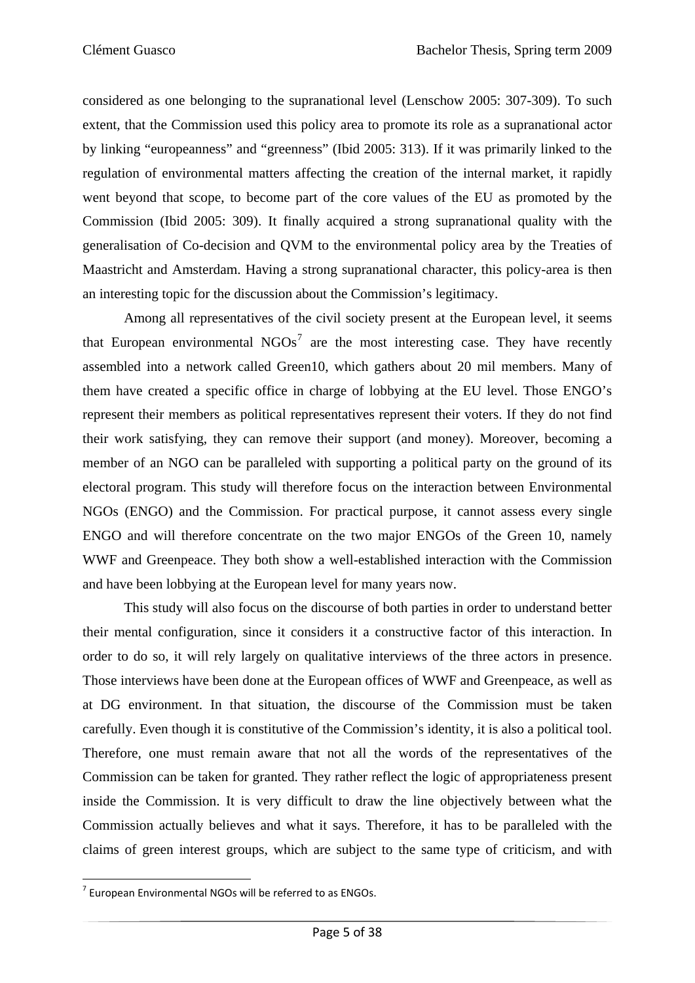considered as one belonging to the supranational level (Lenschow 2005: 307-309). To such extent, that the Commission used this policy area to promote its role as a supranational actor by linking "europeanness" and "greenness" (Ibid 2005: 313). If it was primarily linked to the regulation of environmental matters affecting the creation of the internal market, it rapidly went beyond that scope, to become part of the core values of the EU as promoted by the Commission (Ibid 2005: 309). It finally acquired a strong supranational quality with the generalisation of Co-decision and QVM to the environmental policy area by the Treaties of Maastricht and Amsterdam. Having a strong supranational character, this policy-area is then an interesting topic for the discussion about the Commission's legitimacy.

 Among all representatives of the civil society present at the European level, it seems that European environmental  $NGOs<sup>7</sup>$  $NGOs<sup>7</sup>$  $NGOs<sup>7</sup>$  are the most interesting case. They have recently assembled into a network called Green10, which gathers about 20 mil members. Many of them have created a specific office in charge of lobbying at the EU level. Those ENGO's represent their members as political representatives represent their voters. If they do not find their work satisfying, they can remove their support (and money). Moreover, becoming a member of an NGO can be paralleled with supporting a political party on the ground of its electoral program. This study will therefore focus on the interaction between Environmental NGOs (ENGO) and the Commission. For practical purpose, it cannot assess every single ENGO and will therefore concentrate on the two major ENGOs of the Green 10, namely WWF and Greenpeace. They both show a well-established interaction with the Commission and have been lobbying at the European level for many years now.

This study will also focus on the discourse of both parties in order to understand better their mental configuration, since it considers it a constructive factor of this interaction. In order to do so, it will rely largely on qualitative interviews of the three actors in presence. Those interviews have been done at the European offices of WWF and Greenpeace, as well as at DG environment. In that situation, the discourse of the Commission must be taken carefully. Even though it is constitutive of the Commission's identity, it is also a political tool. Therefore, one must remain aware that not all the words of the representatives of the Commission can be taken for granted. They rather reflect the logic of appropriateness present inside the Commission. It is very difficult to draw the line objectively between what the Commission actually believes and what it says. Therefore, it has to be paralleled with the claims of green interest groups, which are subject to the same type of criticism, and with

<span id="page-10-0"></span>  $7$  European Environmental NGOs will be referred to as ENGOs.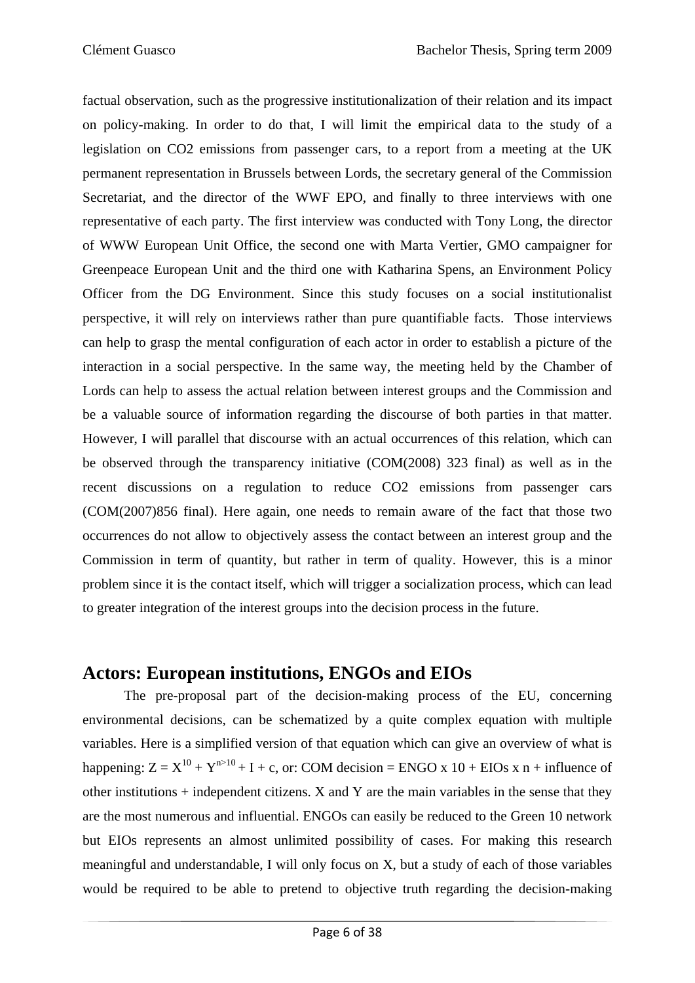factual observation, such as the progressive institutionalization of their relation and its impact on policy-making. In order to do that, I will limit the empirical data to the study of a legislation on CO2 emissions from passenger cars, to a report from a meeting at the UK permanent representation in Brussels between Lords, the secretary general of the Commission Secretariat, and the director of the WWF EPO, and finally to three interviews with one representative of each party. The first interview was conducted with Tony Long, the director of WWW European Unit Office, the second one with Marta Vertier, GMO campaigner for Greenpeace European Unit and the third one with Katharina Spens, an Environment Policy Officer from the DG Environment. Since this study focuses on a social institutionalist perspective, it will rely on interviews rather than pure quantifiable facts. Those interviews can help to grasp the mental configuration of each actor in order to establish a picture of the interaction in a social perspective. In the same way, the meeting held by the Chamber of Lords can help to assess the actual relation between interest groups and the Commission and be a valuable source of information regarding the discourse of both parties in that matter. However, I will parallel that discourse with an actual occurrences of this relation, which can be observed through the transparency initiative (COM(2008) 323 final) as well as in the recent discussions on a regulation to reduce CO2 emissions from passenger cars (COM(2007)856 final). Here again, one needs to remain aware of the fact that those two occurrences do not allow to objectively assess the contact between an interest group and the Commission in term of quantity, but rather in term of quality. However, this is a minor problem since it is the contact itself, which will trigger a socialization process, which can lead to greater integration of the interest groups into the decision process in the future.

### **Actors: European institutions, ENGOs and EIOs**

The pre-proposal part of the decision-making process of the EU, concerning environmental decisions, can be schematized by a quite complex equation with multiple variables. Here is a simplified version of that equation which can give an overview of what is happening:  $Z = X^{10} + Y^{n>10} + I + c$ , or: COM decision = ENGO x 10 + EIOs x n + influence of other institutions  $+$  independent citizens. X and Y are the main variables in the sense that they are the most numerous and influential. ENGOs can easily be reduced to the Green 10 network but EIOs represents an almost unlimited possibility of cases. For making this research meaningful and understandable, I will only focus on X, but a study of each of those variables would be required to be able to pretend to objective truth regarding the decision-making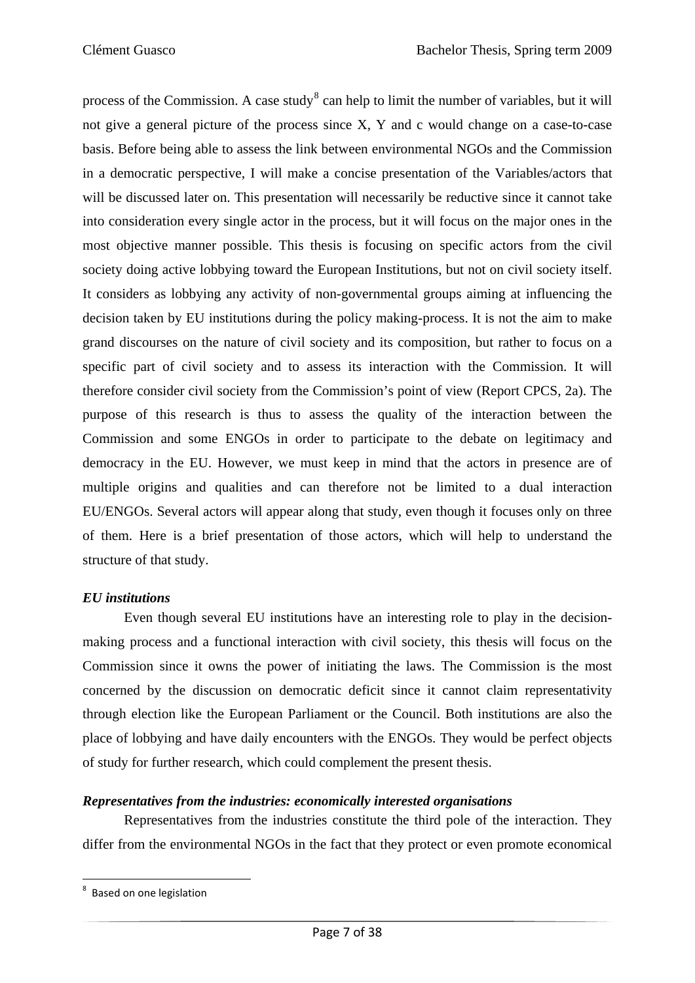process of the Commission. A case study<sup>[8](#page-12-0)</sup> can help to limit the number of variables, but it will not give a general picture of the process since X, Y and c would change on a case-to-case basis. Before being able to assess the link between environmental NGOs and the Commission in a democratic perspective, I will make a concise presentation of the Variables/actors that will be discussed later on. This presentation will necessarily be reductive since it cannot take into consideration every single actor in the process, but it will focus on the major ones in the most objective manner possible. This thesis is focusing on specific actors from the civil society doing active lobbying toward the European Institutions, but not on civil society itself. It considers as lobbying any activity of non-governmental groups aiming at influencing the decision taken by EU institutions during the policy making-process. It is not the aim to make grand discourses on the nature of civil society and its composition, but rather to focus on a specific part of civil society and to assess its interaction with the Commission. It will therefore consider civil society from the Commission's point of view (Report CPCS, 2a). The purpose of this research is thus to assess the quality of the interaction between the Commission and some ENGOs in order to participate to the debate on legitimacy and democracy in the EU. However, we must keep in mind that the actors in presence are of multiple origins and qualities and can therefore not be limited to a dual interaction EU/ENGOs. Several actors will appear along that study, even though it focuses only on three of them. Here is a brief presentation of those actors, which will help to understand the structure of that study.

#### *EU institutions*

Even though several EU institutions have an interesting role to play in the decisionmaking process and a functional interaction with civil society, this thesis will focus on the Commission since it owns the power of initiating the laws. The Commission is the most concerned by the discussion on democratic deficit since it cannot claim representativity through election like the European Parliament or the Council. Both institutions are also the place of lobbying and have daily encounters with the ENGOs. They would be perfect objects of study for further research, which could complement the present thesis.

#### *Representatives from the industries: economically interested organisations*

Representatives from the industries constitute the third pole of the interaction. They differ from the environmental NGOs in the fact that they protect or even promote economical

<span id="page-12-0"></span>**Example 20**<br><sup>8</sup> Based on one legislation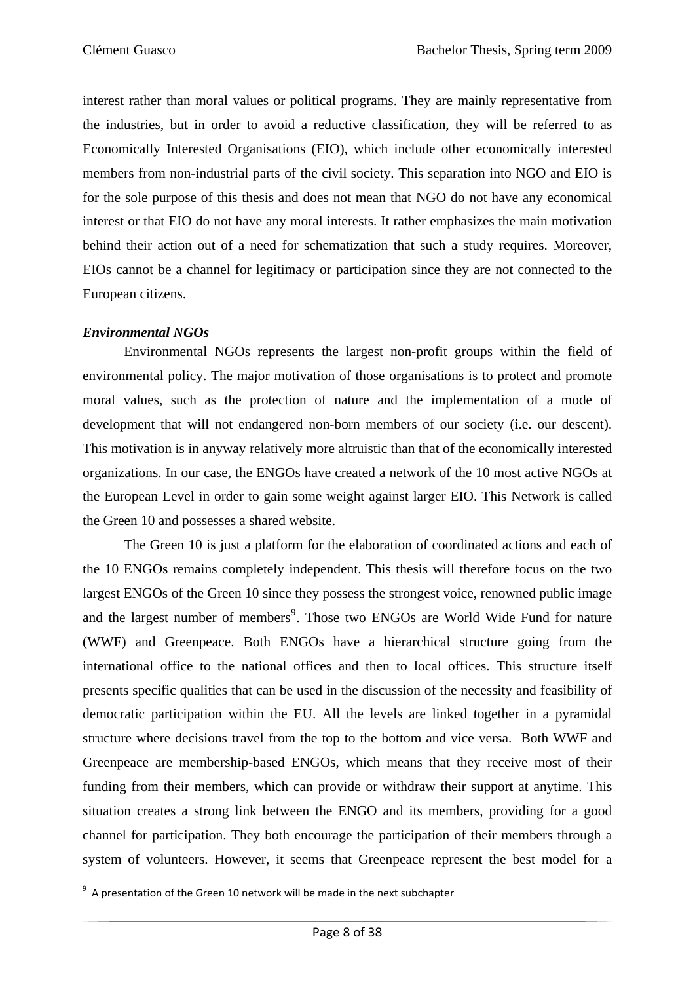interest rather than moral values or political programs. They are mainly representative from the industries, but in order to avoid a reductive classification, they will be referred to as Economically Interested Organisations (EIO), which include other economically interested members from non-industrial parts of the civil society. This separation into NGO and EIO is for the sole purpose of this thesis and does not mean that NGO do not have any economical interest or that EIO do not have any moral interests. It rather emphasizes the main motivation behind their action out of a need for schematization that such a study requires. Moreover, EIOs cannot be a channel for legitimacy or participation since they are not connected to the European citizens.

#### *Environmental NGOs*

Environmental NGOs represents the largest non-profit groups within the field of environmental policy. The major motivation of those organisations is to protect and promote moral values, such as the protection of nature and the implementation of a mode of development that will not endangered non-born members of our society (i.e. our descent). This motivation is in anyway relatively more altruistic than that of the economically interested organizations. In our case, the ENGOs have created a network of the 10 most active NGOs at the European Level in order to gain some weight against larger EIO. This Network is called the Green 10 and possesses a shared website.

The Green 10 is just a platform for the elaboration of coordinated actions and each of the 10 ENGOs remains completely independent. This thesis will therefore focus on the two largest ENGOs of the Green 10 since they possess the strongest voice, renowned public image and the largest number of members<sup>[9](#page-13-0)</sup>. Those two ENGOs are World Wide Fund for nature (WWF) and Greenpeace. Both ENGOs have a hierarchical structure going from the international office to the national offices and then to local offices. This structure itself presents specific qualities that can be used in the discussion of the necessity and feasibility of democratic participation within the EU. All the levels are linked together in a pyramidal structure where decisions travel from the top to the bottom and vice versa. Both WWF and Greenpeace are membership-based ENGOs, which means that they receive most of their funding from their members, which can provide or withdraw their support at anytime. This situation creates a strong link between the ENGO and its members, providing for a good channel for participation. They both encourage the participation of their members through a system of volunteers. However, it seems that Greenpeace represent the best model for a

<span id="page-13-0"></span> 9 A presentation of the Green 10 network will be made in the next subchapter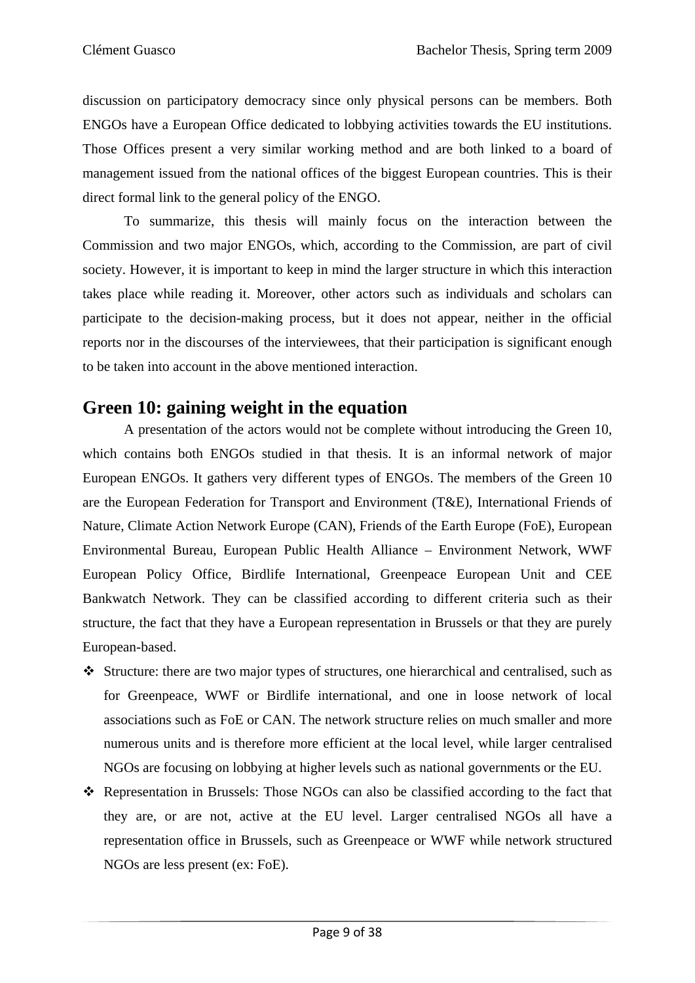discussion on participatory democracy since only physical persons can be members. Both ENGOs have a European Office dedicated to lobbying activities towards the EU institutions. Those Offices present a very similar working method and are both linked to a board of management issued from the national offices of the biggest European countries. This is their direct formal link to the general policy of the ENGO.

To summarize, this thesis will mainly focus on the interaction between the Commission and two major ENGOs, which, according to the Commission, are part of civil society. However, it is important to keep in mind the larger structure in which this interaction takes place while reading it. Moreover, other actors such as individuals and scholars can participate to the decision-making process, but it does not appear, neither in the official reports nor in the discourses of the interviewees, that their participation is significant enough to be taken into account in the above mentioned interaction.

### **Green 10: gaining weight in the equation**

A presentation of the actors would not be complete without introducing the Green 10, which contains both ENGOs studied in that thesis. It is an informal network of major European ENGOs. It gathers very different types of ENGOs. The members of the Green 10 are the European Federation for Transport and Environment (T&E), International Friends of Nature, Climate Action Network Europe (CAN), Friends of the Earth Europe (FoE), European Environmental Bureau, European Public Health Alliance – Environment Network, WWF European Policy Office, Birdlife International, Greenpeace European Unit and CEE Bankwatch Network. They can be classified according to different criteria such as their structure, the fact that they have a European representation in Brussels or that they are purely European-based.

- Structure: there are two major types of structures, one hierarchical and centralised, such as for Greenpeace, WWF or Birdlife international, and one in loose network of local associations such as FoE or CAN. The network structure relies on much smaller and more numerous units and is therefore more efficient at the local level, while larger centralised NGOs are focusing on lobbying at higher levels such as national governments or the EU.
- Representation in Brussels: Those NGOs can also be classified according to the fact that they are, or are not, active at the EU level. Larger centralised NGOs all have a representation office in Brussels, such as Greenpeace or WWF while network structured NGOs are less present (ex: FoE).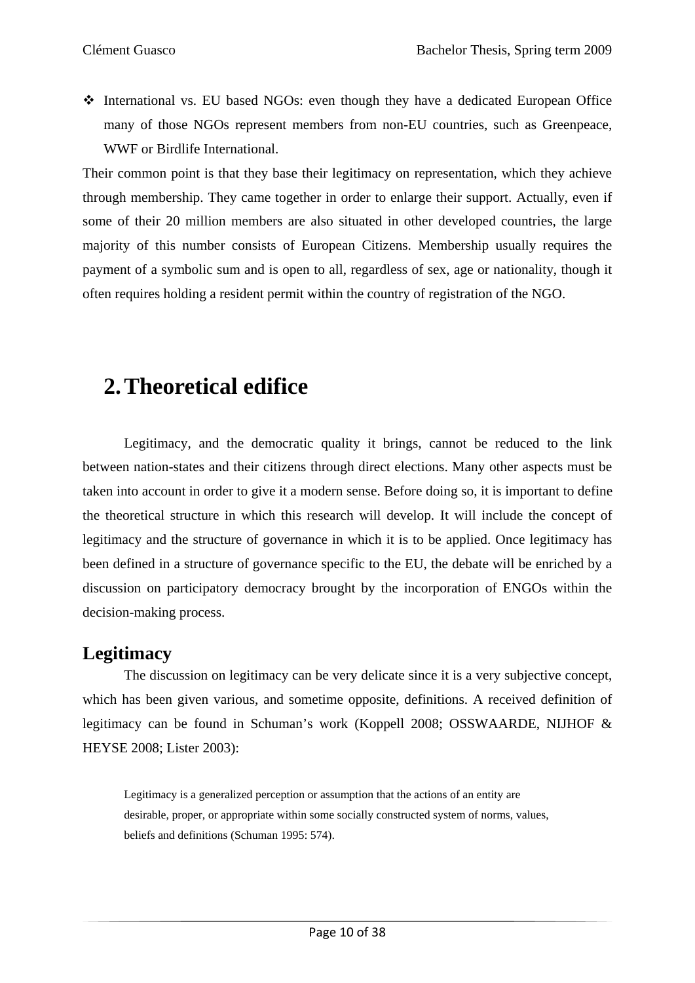International vs. EU based NGOs: even though they have a dedicated European Office many of those NGOs represent members from non-EU countries, such as Greenpeace, WWF or Birdlife International.

Their common point is that they base their legitimacy on representation, which they achieve through membership. They came together in order to enlarge their support. Actually, even if some of their 20 million members are also situated in other developed countries, the large majority of this number consists of European Citizens. Membership usually requires the payment of a symbolic sum and is open to all, regardless of sex, age or nationality, though it often requires holding a resident permit within the country of registration of the NGO.

## **2.Theoretical edifice**

Legitimacy, and the democratic quality it brings, cannot be reduced to the link between nation-states and their citizens through direct elections. Many other aspects must be taken into account in order to give it a modern sense. Before doing so, it is important to define the theoretical structure in which this research will develop. It will include the concept of legitimacy and the structure of governance in which it is to be applied. Once legitimacy has been defined in a structure of governance specific to the EU, the debate will be enriched by a discussion on participatory democracy brought by the incorporation of ENGOs within the decision-making process.

### **Legitimacy**

The discussion on legitimacy can be very delicate since it is a very subjective concept, which has been given various, and sometime opposite, definitions. A received definition of legitimacy can be found in Schuman's work (Koppell 2008; OSSWAARDE, NIJHOF & HEYSE 2008; Lister 2003):

Legitimacy is a generalized perception or assumption that the actions of an entity are desirable, proper, or appropriate within some socially constructed system of norms, values, beliefs and definitions (Schuman 1995: 574).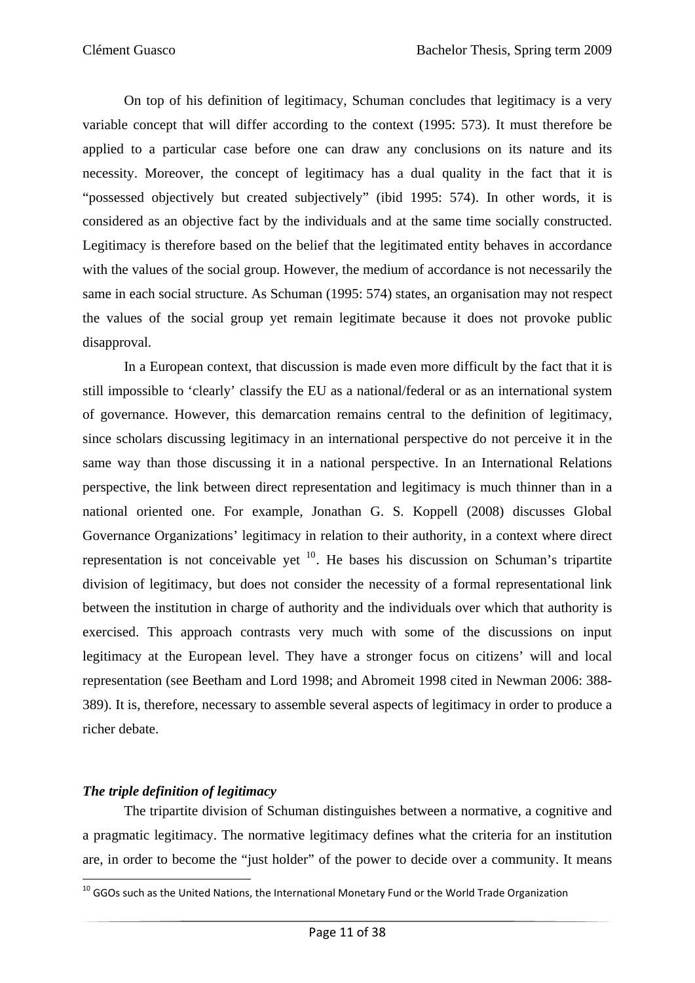On top of his definition of legitimacy, Schuman concludes that legitimacy is a very variable concept that will differ according to the context (1995: 573). It must therefore be applied to a particular case before one can draw any conclusions on its nature and its necessity. Moreover, the concept of legitimacy has a dual quality in the fact that it is "possessed objectively but created subjectively" (ibid 1995: 574). In other words, it is considered as an objective fact by the individuals and at the same time socially constructed. Legitimacy is therefore based on the belief that the legitimated entity behaves in accordance with the values of the social group. However, the medium of accordance is not necessarily the same in each social structure. As Schuman (1995: 574) states, an organisation may not respect the values of the social group yet remain legitimate because it does not provoke public disapproval.

In a European context, that discussion is made even more difficult by the fact that it is still impossible to 'clearly' classify the EU as a national/federal or as an international system of governance. However, this demarcation remains central to the definition of legitimacy, since scholars discussing legitimacy in an international perspective do not perceive it in the same way than those discussing it in a national perspective. In an International Relations perspective, the link between direct representation and legitimacy is much thinner than in a national oriented one. For example, Jonathan G. S. Koppell (2008) discusses Global Governance Organizations' legitimacy in relation to their authority, in a context where direct representation is not conceivable yet  $10$ . He bases his discussion on Schuman's tripartite division of legitimacy, but does not consider the necessity of a formal representational link between the institution in charge of authority and the individuals over which that authority is exercised. This approach contrasts very much with some of the discussions on input legitimacy at the European level. They have a stronger focus on citizens' will and local representation (see Beetham and Lord 1998; and Abromeit 1998 cited in Newman 2006: 388- 389). It is, therefore, necessary to assemble several aspects of legitimacy in order to produce a richer debate.

#### *The triple definition of legitimacy*

The tripartite division of Schuman distinguishes between a normative, a cognitive and a pragmatic legitimacy. The normative legitimacy defines what the criteria for an institution are, in order to become the "just holder" of the power to decide over a community. It means

<span id="page-16-0"></span> $^{10}$  GGOs such as the United Nations, the International Monetary Fund or the World Trade Organization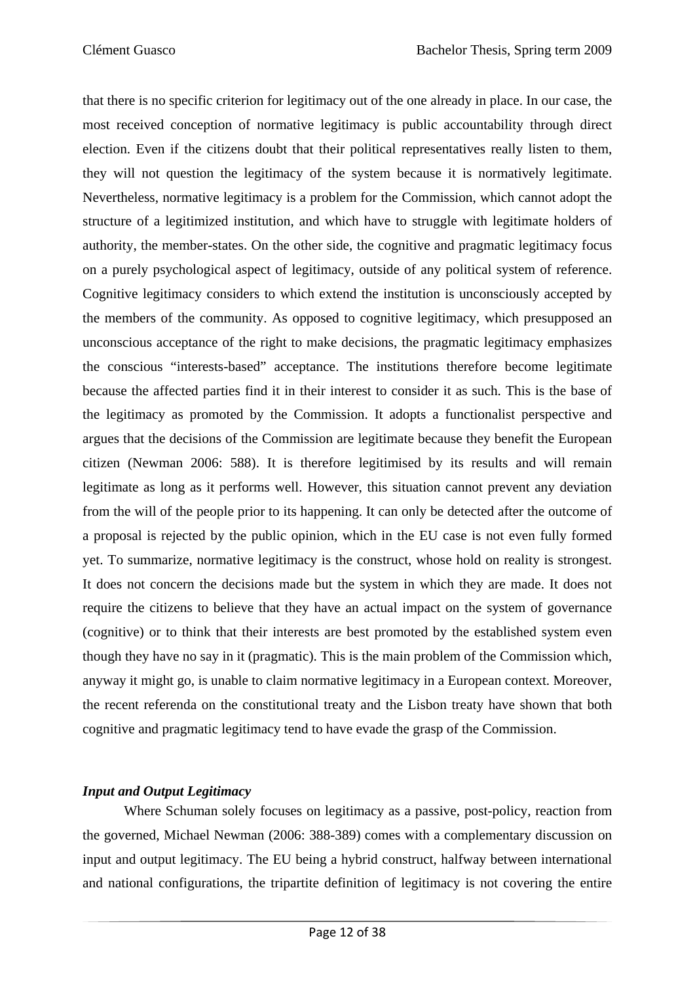that there is no specific criterion for legitimacy out of the one already in place. In our case, the most received conception of normative legitimacy is public accountability through direct election. Even if the citizens doubt that their political representatives really listen to them, they will not question the legitimacy of the system because it is normatively legitimate. Nevertheless, normative legitimacy is a problem for the Commission, which cannot adopt the structure of a legitimized institution, and which have to struggle with legitimate holders of authority, the member-states. On the other side, the cognitive and pragmatic legitimacy focus on a purely psychological aspect of legitimacy, outside of any political system of reference. Cognitive legitimacy considers to which extend the institution is unconsciously accepted by the members of the community. As opposed to cognitive legitimacy, which presupposed an unconscious acceptance of the right to make decisions, the pragmatic legitimacy emphasizes the conscious "interests-based" acceptance. The institutions therefore become legitimate because the affected parties find it in their interest to consider it as such. This is the base of the legitimacy as promoted by the Commission. It adopts a functionalist perspective and argues that the decisions of the Commission are legitimate because they benefit the European citizen (Newman 2006: 588). It is therefore legitimised by its results and will remain legitimate as long as it performs well. However, this situation cannot prevent any deviation from the will of the people prior to its happening. It can only be detected after the outcome of a proposal is rejected by the public opinion, which in the EU case is not even fully formed yet. To summarize, normative legitimacy is the construct, whose hold on reality is strongest. It does not concern the decisions made but the system in which they are made. It does not require the citizens to believe that they have an actual impact on the system of governance (cognitive) or to think that their interests are best promoted by the established system even though they have no say in it (pragmatic). This is the main problem of the Commission which, anyway it might go, is unable to claim normative legitimacy in a European context. Moreover, the recent referenda on the constitutional treaty and the Lisbon treaty have shown that both cognitive and pragmatic legitimacy tend to have evade the grasp of the Commission.

#### *Input and Output Legitimacy*

Where Schuman solely focuses on legitimacy as a passive, post-policy, reaction from the governed, Michael Newman (2006: 388-389) comes with a complementary discussion on input and output legitimacy. The EU being a hybrid construct, halfway between international and national configurations, the tripartite definition of legitimacy is not covering the entire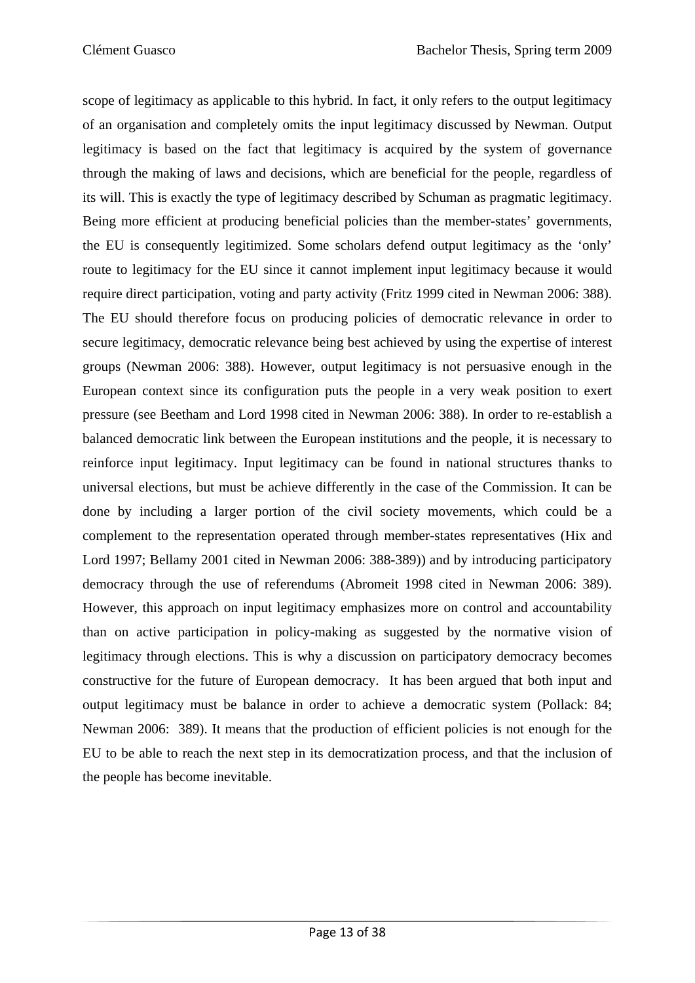scope of legitimacy as applicable to this hybrid. In fact, it only refers to the output legitimacy of an organisation and completely omits the input legitimacy discussed by Newman. Output legitimacy is based on the fact that legitimacy is acquired by the system of governance through the making of laws and decisions, which are beneficial for the people, regardless of its will. This is exactly the type of legitimacy described by Schuman as pragmatic legitimacy. Being more efficient at producing beneficial policies than the member-states' governments, the EU is consequently legitimized. Some scholars defend output legitimacy as the 'only' route to legitimacy for the EU since it cannot implement input legitimacy because it would require direct participation, voting and party activity (Fritz 1999 cited in Newman 2006: 388). The EU should therefore focus on producing policies of democratic relevance in order to secure legitimacy, democratic relevance being best achieved by using the expertise of interest groups (Newman 2006: 388). However, output legitimacy is not persuasive enough in the European context since its configuration puts the people in a very weak position to exert pressure (see Beetham and Lord 1998 cited in Newman 2006: 388). In order to re-establish a balanced democratic link between the European institutions and the people, it is necessary to reinforce input legitimacy. Input legitimacy can be found in national structures thanks to universal elections, but must be achieve differently in the case of the Commission. It can be done by including a larger portion of the civil society movements, which could be a complement to the representation operated through member-states representatives (Hix and Lord 1997; Bellamy 2001 cited in Newman 2006: 388-389)) and by introducing participatory democracy through the use of referendums (Abromeit 1998 cited in Newman 2006: 389). However, this approach on input legitimacy emphasizes more on control and accountability than on active participation in policy-making as suggested by the normative vision of legitimacy through elections. This is why a discussion on participatory democracy becomes constructive for the future of European democracy. It has been argued that both input and output legitimacy must be balance in order to achieve a democratic system (Pollack: 84; Newman 2006: 389). It means that the production of efficient policies is not enough for the EU to be able to reach the next step in its democratization process, and that the inclusion of the people has become inevitable.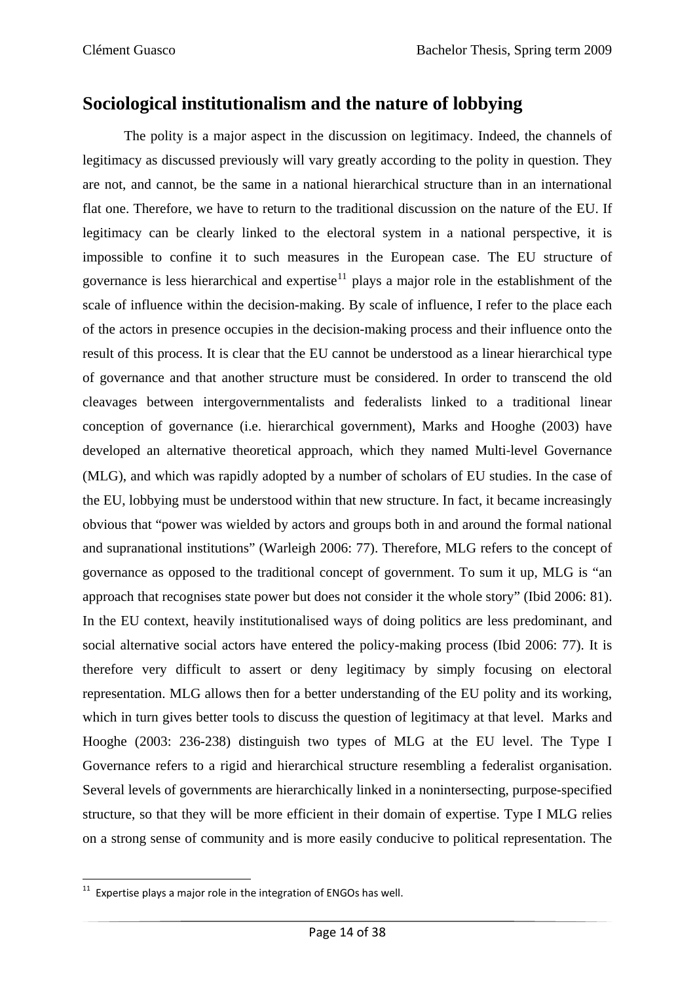### **Sociological institutionalism and the nature of lobbying**

The polity is a major aspect in the discussion on legitimacy. Indeed, the channels of legitimacy as discussed previously will vary greatly according to the polity in question. They are not, and cannot, be the same in a national hierarchical structure than in an international flat one. Therefore, we have to return to the traditional discussion on the nature of the EU. If legitimacy can be clearly linked to the electoral system in a national perspective, it is impossible to confine it to such measures in the European case. The EU structure of governance is less hierarchical and expertise<sup>[11](#page-19-0)</sup> plays a major role in the establishment of the scale of influence within the decision-making. By scale of influence, I refer to the place each of the actors in presence occupies in the decision-making process and their influence onto the result of this process. It is clear that the EU cannot be understood as a linear hierarchical type of governance and that another structure must be considered. In order to transcend the old cleavages between intergovernmentalists and federalists linked to a traditional linear conception of governance (i.e. hierarchical government), Marks and Hooghe (2003) have developed an alternative theoretical approach, which they named Multi-level Governance (MLG), and which was rapidly adopted by a number of scholars of EU studies. In the case of the EU, lobbying must be understood within that new structure. In fact, it became increasingly obvious that "power was wielded by actors and groups both in and around the formal national and supranational institutions" (Warleigh 2006: 77). Therefore, MLG refers to the concept of governance as opposed to the traditional concept of government. To sum it up, MLG is "an approach that recognises state power but does not consider it the whole story" (Ibid 2006: 81). In the EU context, heavily institutionalised ways of doing politics are less predominant, and social alternative social actors have entered the policy-making process (Ibid 2006: 77). It is therefore very difficult to assert or deny legitimacy by simply focusing on electoral representation. MLG allows then for a better understanding of the EU polity and its working, which in turn gives better tools to discuss the question of legitimacy at that level. Marks and Hooghe (2003: 236-238) distinguish two types of MLG at the EU level. The Type I Governance refers to a rigid and hierarchical structure resembling a federalist organisation. Several levels of governments are hierarchically linked in a nonintersecting, purpose-specified structure, so that they will be more efficient in their domain of expertise. Type I MLG relies on a strong sense of community and is more easily conducive to political representation. The

<span id="page-19-0"></span> $11$  Expertise plays a major role in the integration of ENGOs has well.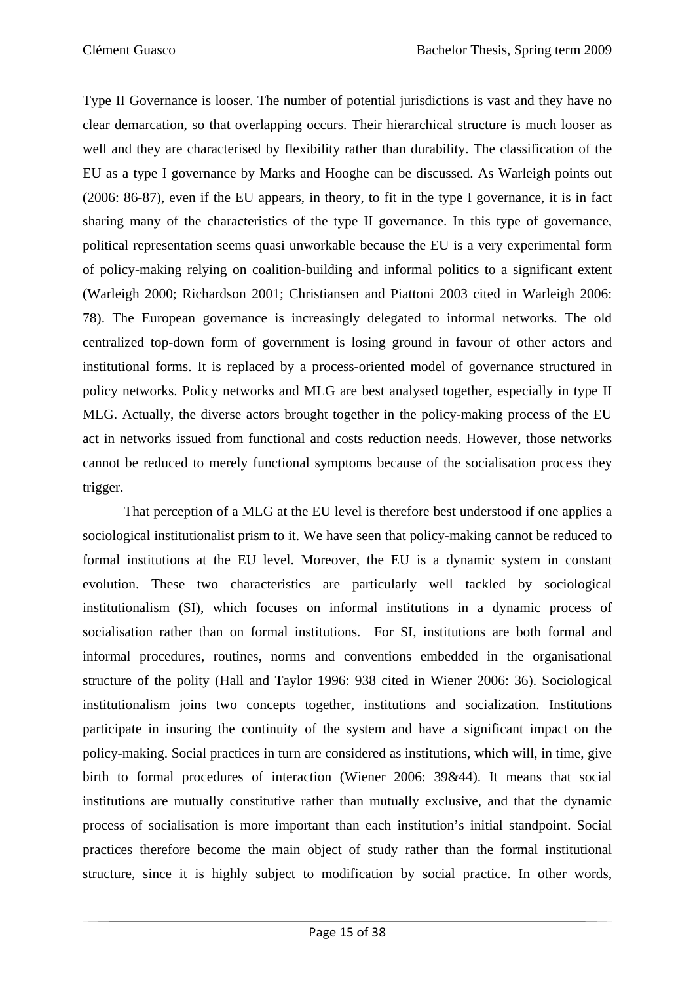Type II Governance is looser. The number of potential jurisdictions is vast and they have no clear demarcation, so that overlapping occurs. Their hierarchical structure is much looser as well and they are characterised by flexibility rather than durability. The classification of the EU as a type I governance by Marks and Hooghe can be discussed. As Warleigh points out (2006: 86-87), even if the EU appears, in theory, to fit in the type I governance, it is in fact sharing many of the characteristics of the type II governance. In this type of governance, political representation seems quasi unworkable because the EU is a very experimental form of policy-making relying on coalition-building and informal politics to a significant extent (Warleigh 2000; Richardson 2001; Christiansen and Piattoni 2003 cited in Warleigh 2006: 78). The European governance is increasingly delegated to informal networks. The old centralized top-down form of government is losing ground in favour of other actors and institutional forms. It is replaced by a process-oriented model of governance structured in policy networks. Policy networks and MLG are best analysed together, especially in type II MLG. Actually, the diverse actors brought together in the policy-making process of the EU act in networks issued from functional and costs reduction needs. However, those networks cannot be reduced to merely functional symptoms because of the socialisation process they trigger.

That perception of a MLG at the EU level is therefore best understood if one applies a sociological institutionalist prism to it. We have seen that policy-making cannot be reduced to formal institutions at the EU level. Moreover, the EU is a dynamic system in constant evolution. These two characteristics are particularly well tackled by sociological institutionalism (SI), which focuses on informal institutions in a dynamic process of socialisation rather than on formal institutions. For SI, institutions are both formal and informal procedures, routines, norms and conventions embedded in the organisational structure of the polity (Hall and Taylor 1996: 938 cited in Wiener 2006: 36). Sociological institutionalism joins two concepts together, institutions and socialization. Institutions participate in insuring the continuity of the system and have a significant impact on the policy-making. Social practices in turn are considered as institutions, which will, in time, give birth to formal procedures of interaction (Wiener 2006: 39&44). It means that social institutions are mutually constitutive rather than mutually exclusive, and that the dynamic process of socialisation is more important than each institution's initial standpoint. Social practices therefore become the main object of study rather than the formal institutional structure, since it is highly subject to modification by social practice. In other words,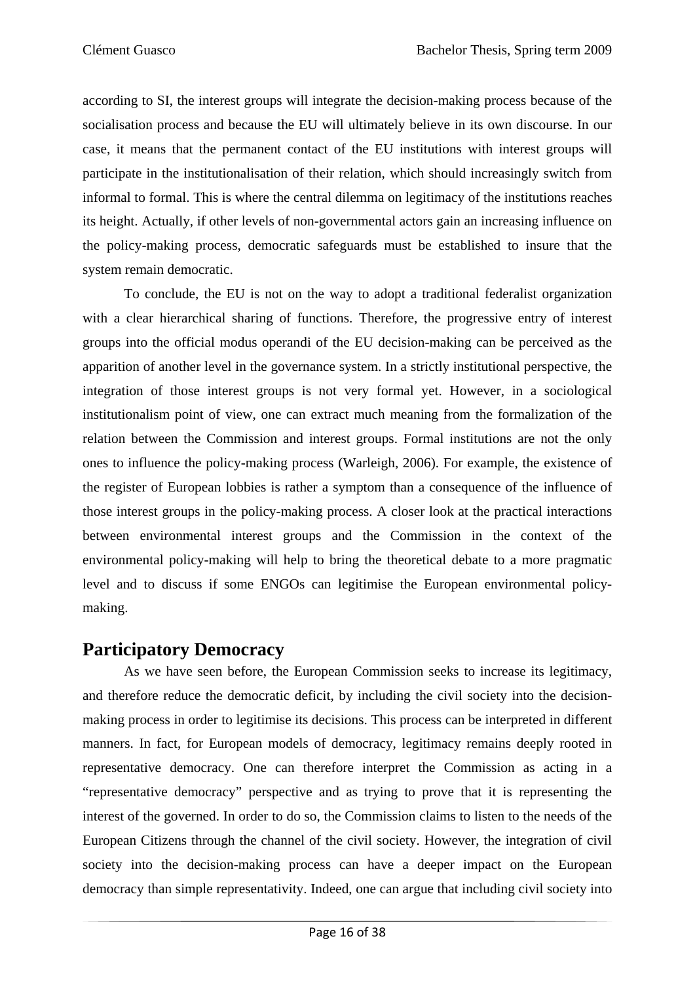according to SI, the interest groups will integrate the decision-making process because of the socialisation process and because the EU will ultimately believe in its own discourse. In our case, it means that the permanent contact of the EU institutions with interest groups will participate in the institutionalisation of their relation, which should increasingly switch from informal to formal. This is where the central dilemma on legitimacy of the institutions reaches its height. Actually, if other levels of non-governmental actors gain an increasing influence on the policy-making process, democratic safeguards must be established to insure that the system remain democratic.

To conclude, the EU is not on the way to adopt a traditional federalist organization with a clear hierarchical sharing of functions. Therefore, the progressive entry of interest groups into the official modus operandi of the EU decision-making can be perceived as the apparition of another level in the governance system. In a strictly institutional perspective, the integration of those interest groups is not very formal yet. However, in a sociological institutionalism point of view, one can extract much meaning from the formalization of the relation between the Commission and interest groups. Formal institutions are not the only ones to influence the policy-making process (Warleigh, 2006). For example, the existence of the register of European lobbies is rather a symptom than a consequence of the influence of those interest groups in the policy-making process. A closer look at the practical interactions between environmental interest groups and the Commission in the context of the environmental policy-making will help to bring the theoretical debate to a more pragmatic level and to discuss if some ENGOs can legitimise the European environmental policymaking.

### **Participatory Democracy**

As we have seen before, the European Commission seeks to increase its legitimacy, and therefore reduce the democratic deficit, by including the civil society into the decisionmaking process in order to legitimise its decisions. This process can be interpreted in different manners. In fact, for European models of democracy, legitimacy remains deeply rooted in representative democracy. One can therefore interpret the Commission as acting in a "representative democracy" perspective and as trying to prove that it is representing the interest of the governed. In order to do so, the Commission claims to listen to the needs of the European Citizens through the channel of the civil society. However, the integration of civil society into the decision-making process can have a deeper impact on the European democracy than simple representativity. Indeed, one can argue that including civil society into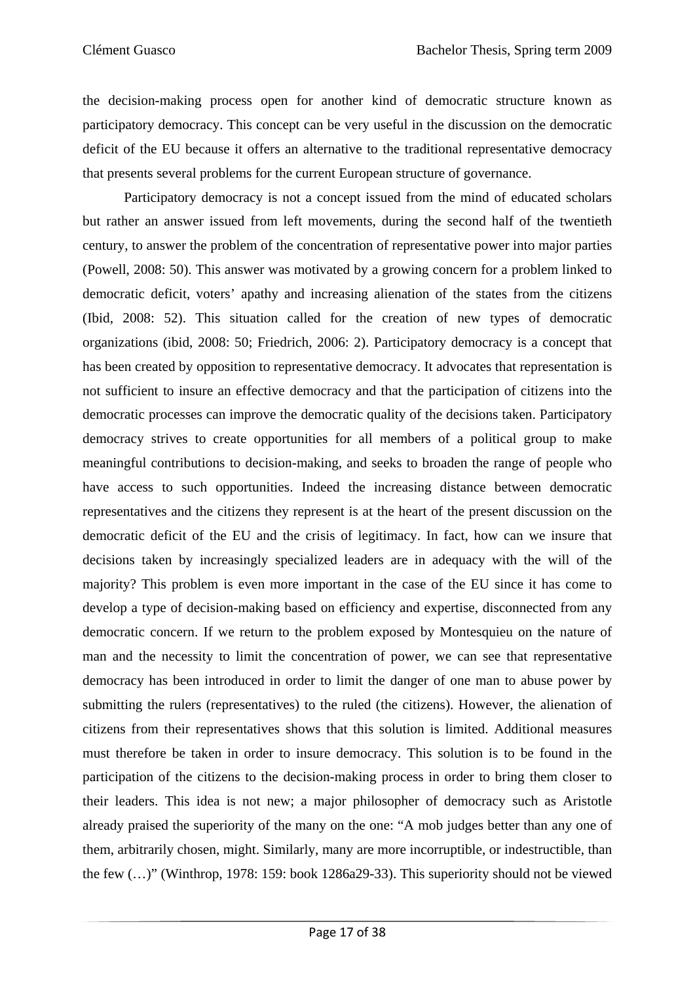the decision-making process open for another kind of democratic structure known as participatory democracy. This concept can be very useful in the discussion on the democratic deficit of the EU because it offers an alternative to the traditional representative democracy that presents several problems for the current European structure of governance.

Participatory democracy is not a concept issued from the mind of educated scholars but rather an answer issued from left movements, during the second half of the twentieth century, to answer the problem of the concentration of representative power into major parties (Powell, 2008: 50). This answer was motivated by a growing concern for a problem linked to democratic deficit, voters' apathy and increasing alienation of the states from the citizens (Ibid, 2008: 52). This situation called for the creation of new types of democratic organizations (ibid, 2008: 50; Friedrich, 2006: 2). Participatory democracy is a concept that has been created by opposition to representative democracy. It advocates that representation is not sufficient to insure an effective democracy and that the participation of citizens into the democratic processes can improve the democratic quality of the decisions taken. Participatory democracy strives to create opportunities for all members of a political group to make meaningful contributions to decision-making, and seeks to broaden the range of people who have access to such opportunities. Indeed the increasing distance between democratic representatives and the citizens they represent is at the heart of the present discussion on the democratic deficit of the EU and the crisis of legitimacy. In fact, how can we insure that decisions taken by increasingly specialized leaders are in adequacy with the will of the majority? This problem is even more important in the case of the EU since it has come to develop a type of decision-making based on efficiency and expertise, disconnected from any democratic concern. If we return to the problem exposed by Montesquieu on the nature of man and the necessity to limit the concentration of power, we can see that representative democracy has been introduced in order to limit the danger of one man to abuse power by submitting the rulers (representatives) to the ruled (the citizens). However, the alienation of citizens from their representatives shows that this solution is limited. Additional measures must therefore be taken in order to insure democracy. This solution is to be found in the participation of the citizens to the decision-making process in order to bring them closer to their leaders. This idea is not new; a major philosopher of democracy such as Aristotle already praised the superiority of the many on the one: "A mob judges better than any one of them, arbitrarily chosen, might. Similarly, many are more incorruptible, or indestructible, than the few (…)" (Winthrop, 1978: 159: book 1286a29-33). This superiority should not be viewed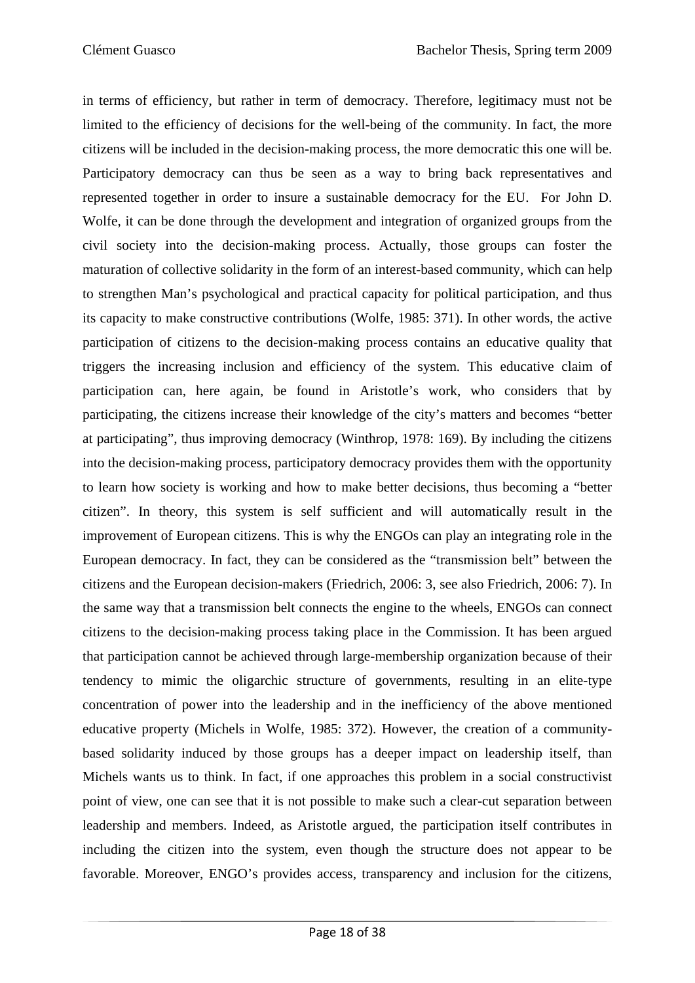in terms of efficiency, but rather in term of democracy. Therefore, legitimacy must not be limited to the efficiency of decisions for the well-being of the community. In fact, the more citizens will be included in the decision-making process, the more democratic this one will be. Participatory democracy can thus be seen as a way to bring back representatives and represented together in order to insure a sustainable democracy for the EU. For John D. Wolfe, it can be done through the development and integration of organized groups from the civil society into the decision-making process. Actually, those groups can foster the maturation of collective solidarity in the form of an interest-based community, which can help to strengthen Man's psychological and practical capacity for political participation, and thus its capacity to make constructive contributions (Wolfe, 1985: 371). In other words, the active participation of citizens to the decision-making process contains an educative quality that triggers the increasing inclusion and efficiency of the system. This educative claim of participation can, here again, be found in Aristotle's work, who considers that by participating, the citizens increase their knowledge of the city's matters and becomes "better at participating", thus improving democracy (Winthrop, 1978: 169). By including the citizens into the decision-making process, participatory democracy provides them with the opportunity to learn how society is working and how to make better decisions, thus becoming a "better citizen". In theory, this system is self sufficient and will automatically result in the improvement of European citizens. This is why the ENGOs can play an integrating role in the European democracy. In fact, they can be considered as the "transmission belt" between the citizens and the European decision-makers (Friedrich, 2006: 3, see also Friedrich, 2006: 7). In the same way that a transmission belt connects the engine to the wheels, ENGOs can connect citizens to the decision-making process taking place in the Commission. It has been argued that participation cannot be achieved through large-membership organization because of their tendency to mimic the oligarchic structure of governments, resulting in an elite-type concentration of power into the leadership and in the inefficiency of the above mentioned educative property (Michels in Wolfe, 1985: 372). However, the creation of a communitybased solidarity induced by those groups has a deeper impact on leadership itself, than Michels wants us to think. In fact, if one approaches this problem in a social constructivist point of view, one can see that it is not possible to make such a clear-cut separation between leadership and members. Indeed, as Aristotle argued, the participation itself contributes in including the citizen into the system, even though the structure does not appear to be favorable. Moreover, ENGO's provides access, transparency and inclusion for the citizens,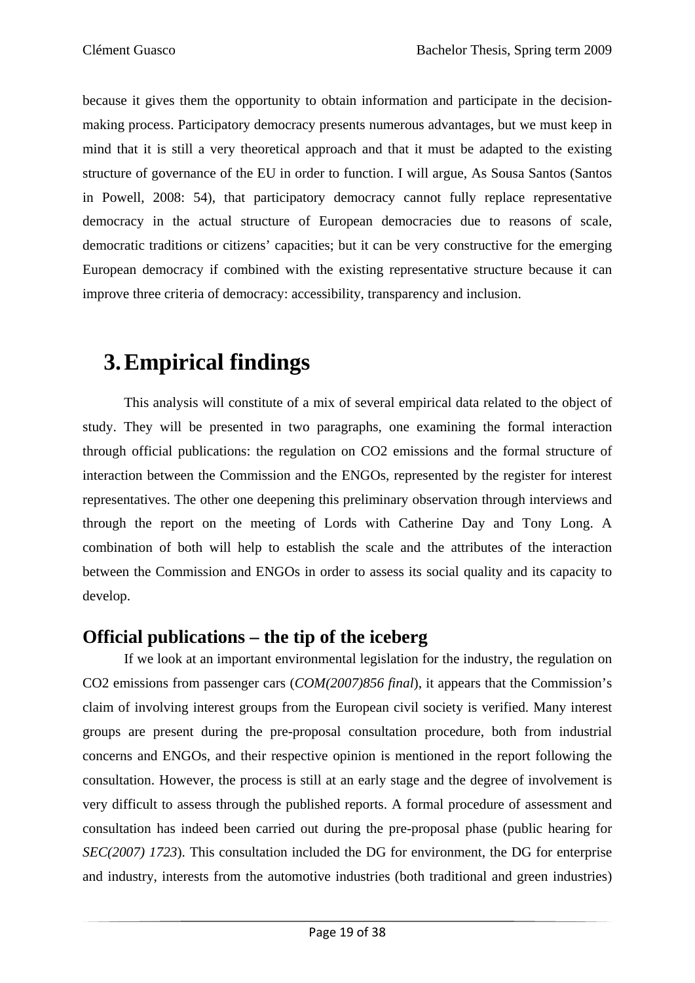because it gives them the opportunity to obtain information and participate in the decisionmaking process. Participatory democracy presents numerous advantages, but we must keep in mind that it is still a very theoretical approach and that it must be adapted to the existing structure of governance of the EU in order to function. I will argue, As Sousa Santos (Santos in Powell, 2008: 54), that participatory democracy cannot fully replace representative democracy in the actual structure of European democracies due to reasons of scale, democratic traditions or citizens' capacities; but it can be very constructive for the emerging European democracy if combined with the existing representative structure because it can improve three criteria of democracy: accessibility, transparency and inclusion.

## **3.Empirical findings**

This analysis will constitute of a mix of several empirical data related to the object of study. They will be presented in two paragraphs, one examining the formal interaction through official publications: the regulation on CO2 emissions and the formal structure of interaction between the Commission and the ENGOs, represented by the register for interest representatives. The other one deepening this preliminary observation through interviews and through the report on the meeting of Lords with Catherine Day and Tony Long. A combination of both will help to establish the scale and the attributes of the interaction between the Commission and ENGOs in order to assess its social quality and its capacity to develop.

## **Official publications – the tip of the iceberg**

If we look at an important environmental legislation for the industry, the regulation on CO2 emissions from passenger cars (*COM(2007)856 final*), it appears that the Commission's claim of involving interest groups from the European civil society is verified. Many interest groups are present during the pre-proposal consultation procedure, both from industrial concerns and ENGOs, and their respective opinion is mentioned in the report following the consultation. However, the process is still at an early stage and the degree of involvement is very difficult to assess through the published reports. A formal procedure of assessment and consultation has indeed been carried out during the pre-proposal phase (public hearing for *SEC(2007) 1723*). This consultation included the DG for environment, the DG for enterprise and industry, interests from the automotive industries (both traditional and green industries)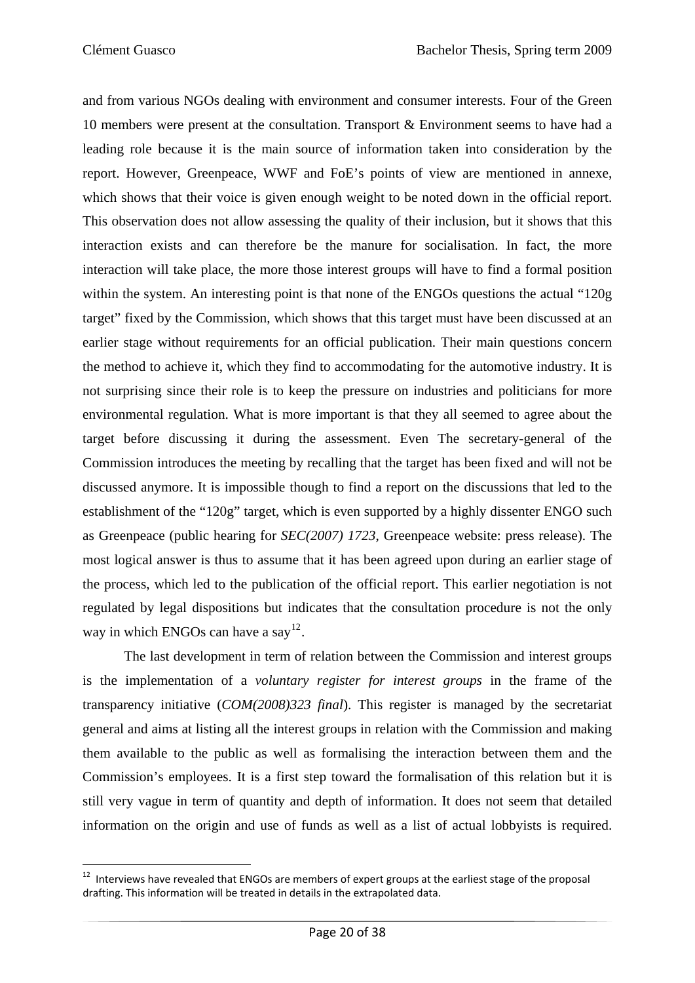and from various NGOs dealing with environment and consumer interests. Four of the Green 10 members were present at the consultation. Transport & Environment seems to have had a leading role because it is the main source of information taken into consideration by the report. However, Greenpeace, WWF and FoE's points of view are mentioned in annexe, which shows that their voice is given enough weight to be noted down in the official report. This observation does not allow assessing the quality of their inclusion, but it shows that this interaction exists and can therefore be the manure for socialisation. In fact, the more interaction will take place, the more those interest groups will have to find a formal position within the system. An interesting point is that none of the ENGOs questions the actual "120g target" fixed by the Commission, which shows that this target must have been discussed at an earlier stage without requirements for an official publication. Their main questions concern the method to achieve it, which they find to accommodating for the automotive industry. It is not surprising since their role is to keep the pressure on industries and politicians for more environmental regulation. What is more important is that they all seemed to agree about the target before discussing it during the assessment. Even The secretary-general of the Commission introduces the meeting by recalling that the target has been fixed and will not be discussed anymore. It is impossible though to find a report on the discussions that led to the establishment of the "120g" target, which is even supported by a highly dissenter ENGO such as Greenpeace (public hearing for *SEC(2007) 1723*, Greenpeace website: press release). The most logical answer is thus to assume that it has been agreed upon during an earlier stage of the process, which led to the publication of the official report. This earlier negotiation is not regulated by legal dispositions but indicates that the consultation procedure is not the only way in which ENGOs can have a say<sup>[12](#page-25-0)</sup>.

The last development in term of relation between the Commission and interest groups is the implementation of a *voluntary register for interest groups* in the frame of the transparency initiative (*COM(2008)323 final*). This register is managed by the secretariat general and aims at listing all the interest groups in relation with the Commission and making them available to the public as well as formalising the interaction between them and the Commission's employees. It is a first step toward the formalisation of this relation but it is still very vague in term of quantity and depth of information. It does not seem that detailed information on the origin and use of funds as well as a list of actual lobbyists is required.

<span id="page-25-0"></span> <sup>12</sup> Interviews have revealed that ENGOs are members of expert groups at the earliest stage of the proposal drafting. This information will be treated in details in the extrapolated data.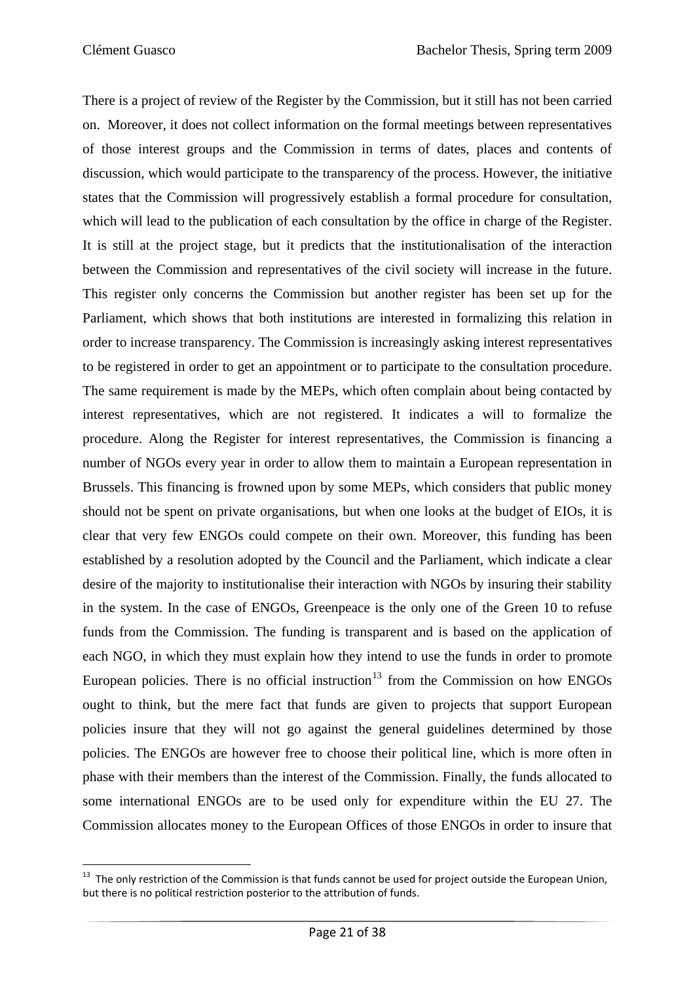There is a project of review of the Register by the Commission, but it still has not been carried on. Moreover, it does not collect information on the formal meetings between representatives of those interest groups and the Commission in terms of dates, places and contents of discussion, which would participate to the transparency of the process. However, the initiative states that the Commission will progressively establish a formal procedure for consultation, which will lead to the publication of each consultation by the office in charge of the Register. It is still at the project stage, but it predicts that the institutionalisation of the interaction between the Commission and representatives of the civil society will increase in the future. This register only concerns the Commission but another register has been set up for the Parliament, which shows that both institutions are interested in formalizing this relation in order to increase transparency. The Commission is increasingly asking interest representatives to be registered in order to get an appointment or to participate to the consultation procedure. The same requirement is made by the MEPs, which often complain about being contacted by interest representatives, which are not registered. It indicates a will to formalize the procedure. Along the Register for interest representatives, the Commission is financing a number of NGOs every year in order to allow them to maintain a European representation in Brussels. This financing is frowned upon by some MEPs, which considers that public money should not be spent on private organisations, but when one looks at the budget of EIOs, it is clear that very few ENGOs could compete on their own. Moreover, this funding has been established by a resolution adopted by the Council and the Parliament, which indicate a clear desire of the majority to institutionalise their interaction with NGOs by insuring their stability in the system. In the case of ENGOs, Greenpeace is the only one of the Green 10 to refuse funds from the Commission. The funding is transparent and is based on the application of each NGO, in which they must explain how they intend to use the funds in order to promote European policies. There is no official instruction<sup>[13](#page-26-0)</sup> from the Commission on how ENGOs ought to think, but the mere fact that funds are given to projects that support European policies insure that they will not go against the general guidelines determined by those policies. The ENGOs are however free to choose their political line, which is more often in phase with their members than the interest of the Commission. Finally, the funds allocated to some international ENGOs are to be used only for expenditure within the EU 27. The Commission allocates money to the European Offices of those ENGOs in order to insure that

<span id="page-26-0"></span>  $13$  The only restriction of the Commission is that funds cannot be used for project outside the European Union, but there is no political restriction posterior to the attribution of funds.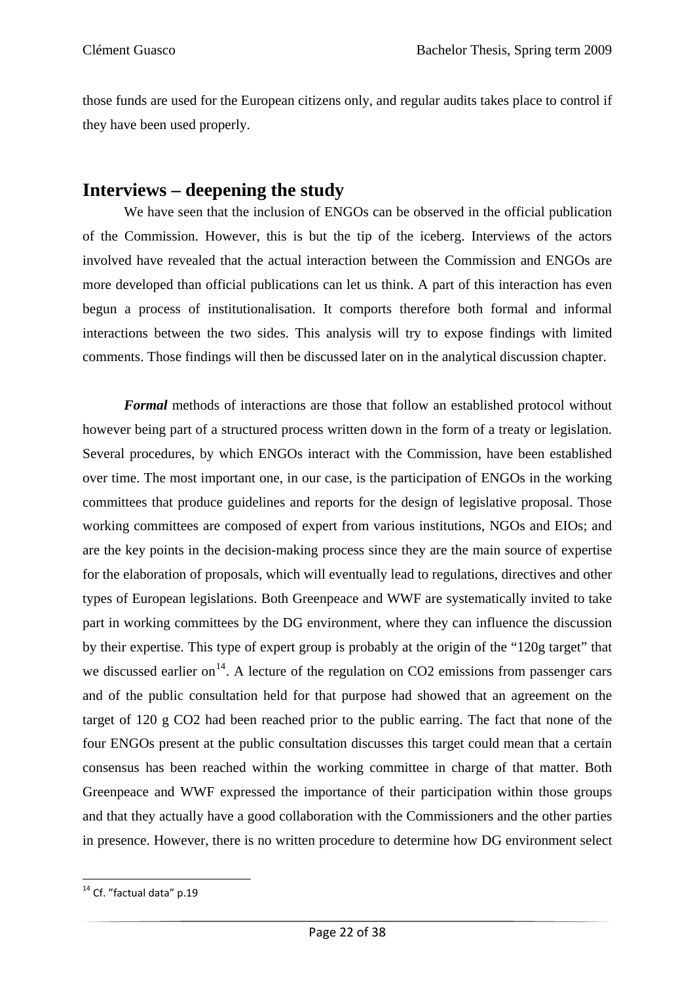those funds are used for the European citizens only, and regular audits takes place to control if they have been used properly.

### **Interviews – deepening the study**

We have seen that the inclusion of ENGOs can be observed in the official publication of the Commission. However, this is but the tip of the iceberg. Interviews of the actors involved have revealed that the actual interaction between the Commission and ENGOs are more developed than official publications can let us think. A part of this interaction has even begun a process of institutionalisation. It comports therefore both formal and informal interactions between the two sides. This analysis will try to expose findings with limited comments. Those findings will then be discussed later on in the analytical discussion chapter.

*Formal* methods of interactions are those that follow an established protocol without however being part of a structured process written down in the form of a treaty or legislation. Several procedures, by which ENGOs interact with the Commission, have been established over time. The most important one, in our case, is the participation of ENGOs in the working committees that produce guidelines and reports for the design of legislative proposal. Those working committees are composed of expert from various institutions, NGOs and EIOs; and are the key points in the decision-making process since they are the main source of expertise for the elaboration of proposals, which will eventually lead to regulations, directives and other types of European legislations. Both Greenpeace and WWF are systematically invited to take part in working committees by the DG environment, where they can influence the discussion by their expertise. This type of expert group is probably at the origin of the "120g target" that we discussed earlier on<sup>[14](#page-27-0)</sup>. A lecture of the regulation on CO2 emissions from passenger cars and of the public consultation held for that purpose had showed that an agreement on the target of 120 g CO2 had been reached prior to the public earring. The fact that none of the four ENGOs present at the public consultation discusses this target could mean that a certain consensus has been reached within the working committee in charge of that matter. Both Greenpeace and WWF expressed the importance of their participation within those groups and that they actually have a good collaboration with the Commissioners and the other parties in presence. However, there is no written procedure to determine how DG environment select

<span id="page-27-0"></span> $14$  Cf. "factual data" p.19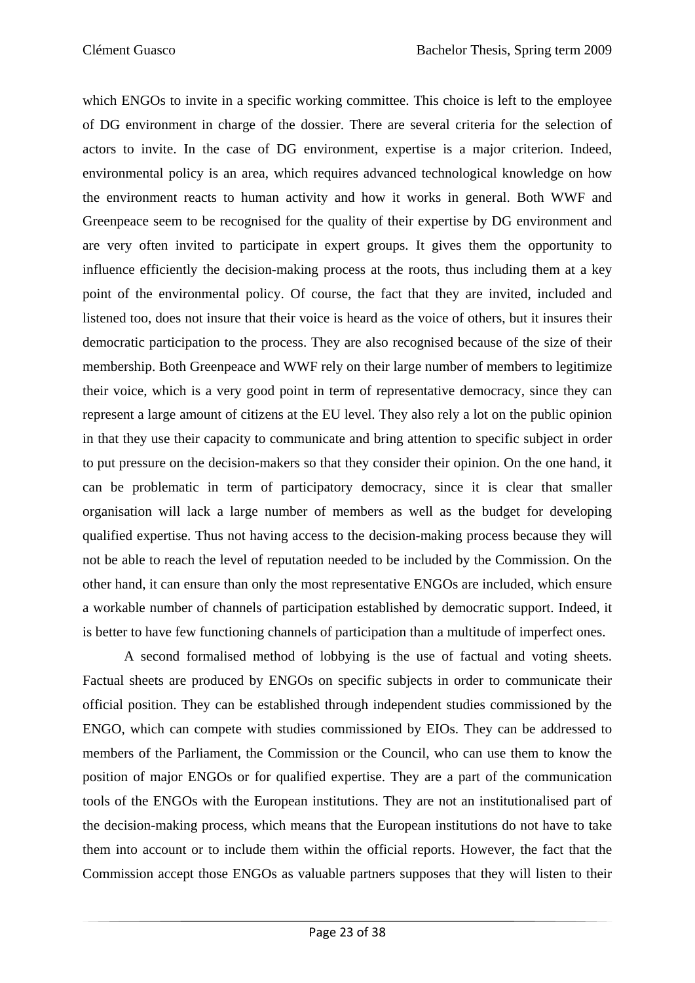which ENGOs to invite in a specific working committee. This choice is left to the employee of DG environment in charge of the dossier. There are several criteria for the selection of actors to invite. In the case of DG environment, expertise is a major criterion. Indeed, environmental policy is an area, which requires advanced technological knowledge on how the environment reacts to human activity and how it works in general. Both WWF and Greenpeace seem to be recognised for the quality of their expertise by DG environment and are very often invited to participate in expert groups. It gives them the opportunity to influence efficiently the decision-making process at the roots, thus including them at a key point of the environmental policy. Of course, the fact that they are invited, included and listened too, does not insure that their voice is heard as the voice of others, but it insures their democratic participation to the process. They are also recognised because of the size of their membership. Both Greenpeace and WWF rely on their large number of members to legitimize their voice, which is a very good point in term of representative democracy, since they can represent a large amount of citizens at the EU level. They also rely a lot on the public opinion in that they use their capacity to communicate and bring attention to specific subject in order to put pressure on the decision-makers so that they consider their opinion. On the one hand, it can be problematic in term of participatory democracy, since it is clear that smaller organisation will lack a large number of members as well as the budget for developing qualified expertise. Thus not having access to the decision-making process because they will not be able to reach the level of reputation needed to be included by the Commission. On the other hand, it can ensure than only the most representative ENGOs are included, which ensure a workable number of channels of participation established by democratic support. Indeed, it is better to have few functioning channels of participation than a multitude of imperfect ones.

 A second formalised method of lobbying is the use of factual and voting sheets. Factual sheets are produced by ENGOs on specific subjects in order to communicate their official position. They can be established through independent studies commissioned by the ENGO, which can compete with studies commissioned by EIOs. They can be addressed to members of the Parliament, the Commission or the Council, who can use them to know the position of major ENGOs or for qualified expertise. They are a part of the communication tools of the ENGOs with the European institutions. They are not an institutionalised part of the decision-making process, which means that the European institutions do not have to take them into account or to include them within the official reports. However, the fact that the Commission accept those ENGOs as valuable partners supposes that they will listen to their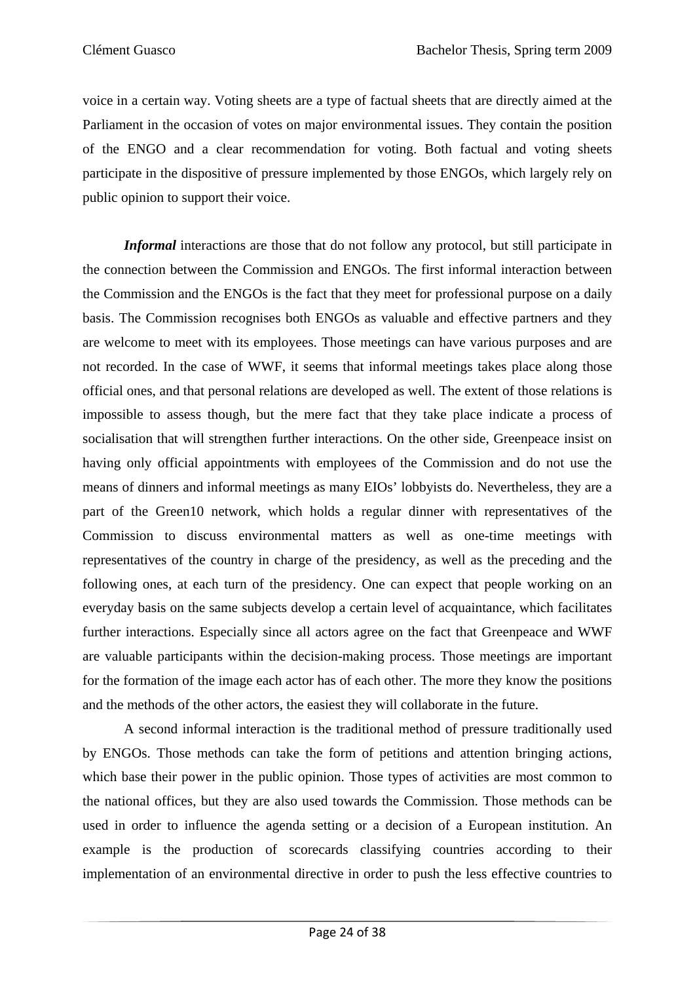voice in a certain way. Voting sheets are a type of factual sheets that are directly aimed at the Parliament in the occasion of votes on major environmental issues. They contain the position of the ENGO and a clear recommendation for voting. Both factual and voting sheets participate in the dispositive of pressure implemented by those ENGOs, which largely rely on public opinion to support their voice.

*Informal* interactions are those that do not follow any protocol, but still participate in the connection between the Commission and ENGOs. The first informal interaction between the Commission and the ENGOs is the fact that they meet for professional purpose on a daily basis. The Commission recognises both ENGOs as valuable and effective partners and they are welcome to meet with its employees. Those meetings can have various purposes and are not recorded. In the case of WWF, it seems that informal meetings takes place along those official ones, and that personal relations are developed as well. The extent of those relations is impossible to assess though, but the mere fact that they take place indicate a process of socialisation that will strengthen further interactions. On the other side, Greenpeace insist on having only official appointments with employees of the Commission and do not use the means of dinners and informal meetings as many EIOs' lobbyists do. Nevertheless, they are a part of the Green10 network, which holds a regular dinner with representatives of the Commission to discuss environmental matters as well as one-time meetings with representatives of the country in charge of the presidency, as well as the preceding and the following ones, at each turn of the presidency. One can expect that people working on an everyday basis on the same subjects develop a certain level of acquaintance, which facilitates further interactions. Especially since all actors agree on the fact that Greenpeace and WWF are valuable participants within the decision-making process. Those meetings are important for the formation of the image each actor has of each other. The more they know the positions and the methods of the other actors, the easiest they will collaborate in the future.

A second informal interaction is the traditional method of pressure traditionally used by ENGOs. Those methods can take the form of petitions and attention bringing actions, which base their power in the public opinion. Those types of activities are most common to the national offices, but they are also used towards the Commission. Those methods can be used in order to influence the agenda setting or a decision of a European institution. An example is the production of scorecards classifying countries according to their implementation of an environmental directive in order to push the less effective countries to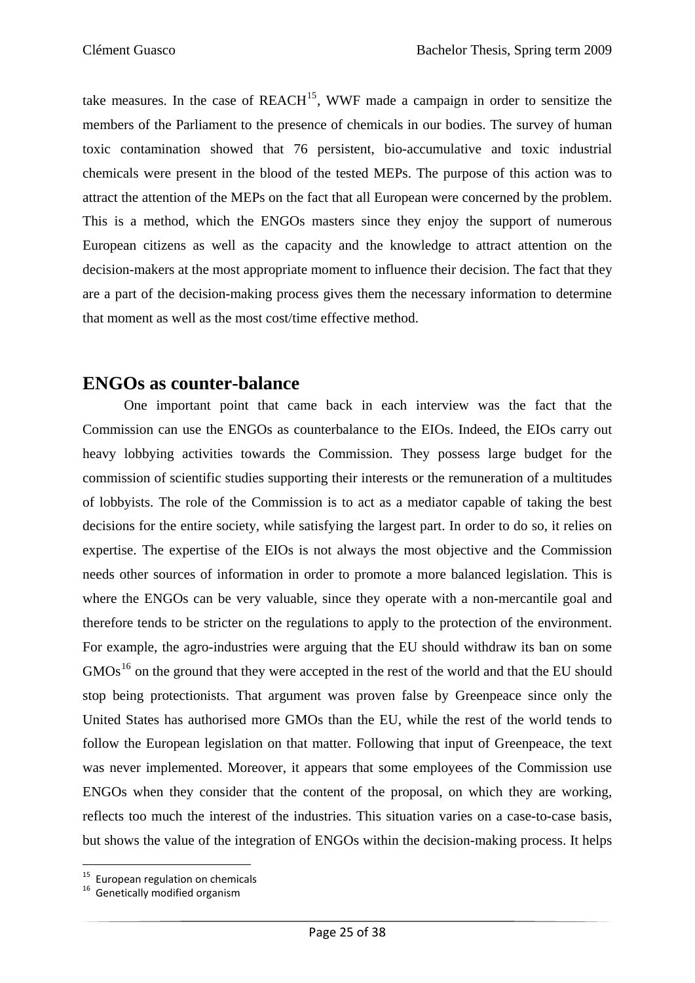take measures. In the case of  $REACH<sup>15</sup>$  $REACH<sup>15</sup>$  $REACH<sup>15</sup>$ , WWF made a campaign in order to sensitize the members of the Parliament to the presence of chemicals in our bodies. The survey of human toxic contamination showed that 76 persistent, bio-accumulative and toxic industrial chemicals were present in the blood of the tested MEPs. The purpose of this action was to attract the attention of the MEPs on the fact that all European were concerned by the problem. This is a method, which the ENGOs masters since they enjoy the support of numerous European citizens as well as the capacity and the knowledge to attract attention on the decision-makers at the most appropriate moment to influence their decision. The fact that they are a part of the decision-making process gives them the necessary information to determine that moment as well as the most cost/time effective method.

#### **ENGOs as counter-balance**

 One important point that came back in each interview was the fact that the Commission can use the ENGOs as counterbalance to the EIOs. Indeed, the EIOs carry out heavy lobbying activities towards the Commission. They possess large budget for the commission of scientific studies supporting their interests or the remuneration of a multitudes of lobbyists. The role of the Commission is to act as a mediator capable of taking the best decisions for the entire society, while satisfying the largest part. In order to do so, it relies on expertise. The expertise of the EIOs is not always the most objective and the Commission needs other sources of information in order to promote a more balanced legislation. This is where the ENGOs can be very valuable, since they operate with a non-mercantile goal and therefore tends to be stricter on the regulations to apply to the protection of the environment. For example, the agro-industries were arguing that the EU should withdraw its ban on some  $GMOs<sup>16</sup>$  $GMOs<sup>16</sup>$  $GMOs<sup>16</sup>$  on the ground that they were accepted in the rest of the world and that the EU should stop being protectionists. That argument was proven false by Greenpeace since only the United States has authorised more GMOs than the EU, while the rest of the world tends to follow the European legislation on that matter. Following that input of Greenpeace, the text was never implemented. Moreover, it appears that some employees of the Commission use ENGOs when they consider that the content of the proposal, on which they are working, reflects too much the interest of the industries. This situation varies on a case-to-case basis, but shows the value of the integration of ENGOs within the decision-making process. It helps

<span id="page-30-0"></span> <sup>15</sup> European regulation on chemicals  $16$  Genetically modified organism

<span id="page-30-1"></span>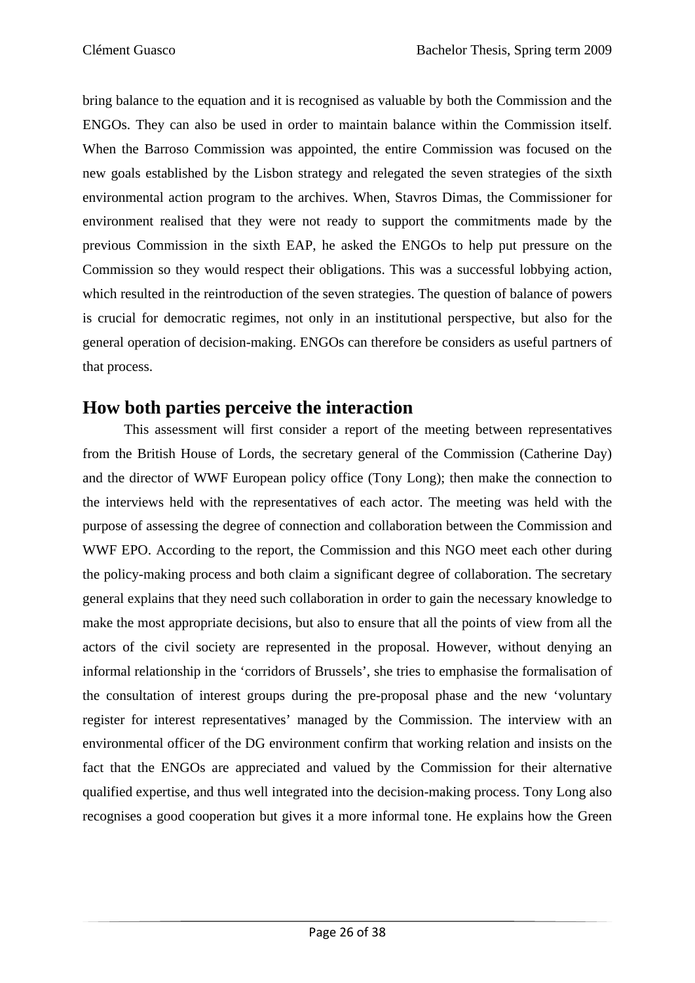bring balance to the equation and it is recognised as valuable by both the Commission and the ENGOs. They can also be used in order to maintain balance within the Commission itself. When the Barroso Commission was appointed, the entire Commission was focused on the new goals established by the Lisbon strategy and relegated the seven strategies of the sixth environmental action program to the archives. When, Stavros Dimas, the Commissioner for environment realised that they were not ready to support the commitments made by the previous Commission in the sixth EAP, he asked the ENGOs to help put pressure on the Commission so they would respect their obligations. This was a successful lobbying action, which resulted in the reintroduction of the seven strategies. The question of balance of powers is crucial for democratic regimes, not only in an institutional perspective, but also for the general operation of decision-making. ENGOs can therefore be considers as useful partners of that process.

### **How both parties perceive the interaction**

This assessment will first consider a report of the meeting between representatives from the British House of Lords, the secretary general of the Commission (Catherine Day) and the director of WWF European policy office (Tony Long); then make the connection to the interviews held with the representatives of each actor. The meeting was held with the purpose of assessing the degree of connection and collaboration between the Commission and WWF EPO. According to the report, the Commission and this NGO meet each other during the policy-making process and both claim a significant degree of collaboration. The secretary general explains that they need such collaboration in order to gain the necessary knowledge to make the most appropriate decisions, but also to ensure that all the points of view from all the actors of the civil society are represented in the proposal. However, without denying an informal relationship in the 'corridors of Brussels', she tries to emphasise the formalisation of the consultation of interest groups during the pre-proposal phase and the new 'voluntary register for interest representatives' managed by the Commission. The interview with an environmental officer of the DG environment confirm that working relation and insists on the fact that the ENGOs are appreciated and valued by the Commission for their alternative qualified expertise, and thus well integrated into the decision-making process. Tony Long also recognises a good cooperation but gives it a more informal tone. He explains how the Green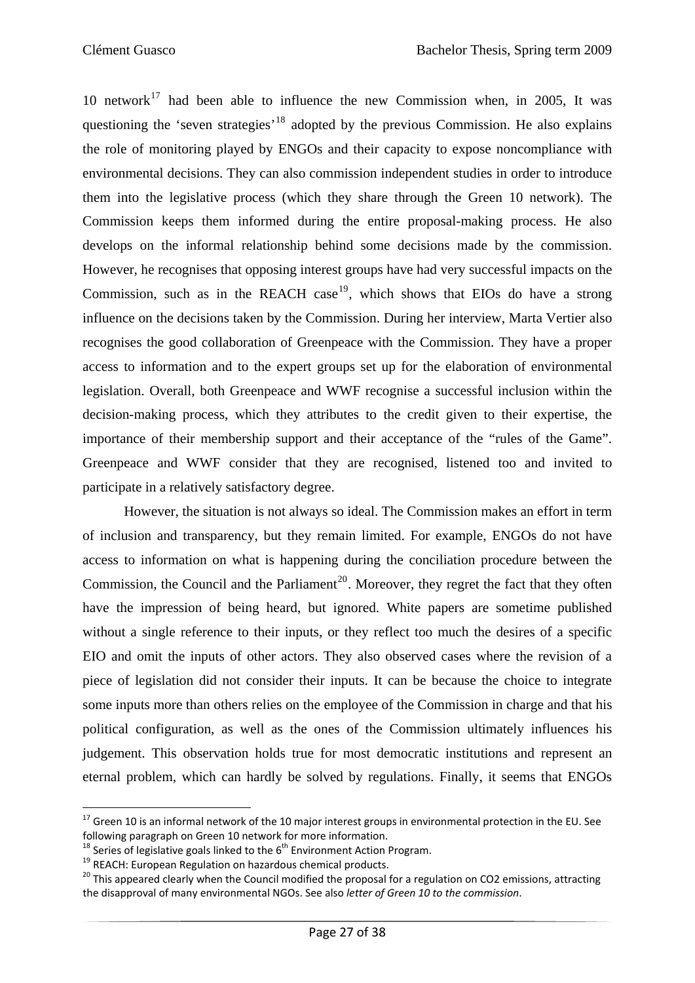10 network<sup>[17](#page-32-0)</sup> had been able to influence the new Commission when, in 2005, It was questioning the 'seven strategies'<sup>[18](#page-32-1)</sup> adopted by the previous Commission. He also explains the role of monitoring played by ENGOs and their capacity to expose noncompliance with environmental decisions. They can also commission independent studies in order to introduce them into the legislative process (which they share through the Green 10 network). The Commission keeps them informed during the entire proposal-making process. He also develops on the informal relationship behind some decisions made by the commission. However, he recognises that opposing interest groups have had very successful impacts on the Commission, such as in the REACH case<sup>[19](#page-32-2)</sup>, which shows that EIOs do have a strong influence on the decisions taken by the Commission. During her interview, Marta Vertier also recognises the good collaboration of Greenpeace with the Commission. They have a proper access to information and to the expert groups set up for the elaboration of environmental legislation. Overall, both Greenpeace and WWF recognise a successful inclusion within the decision-making process, which they attributes to the credit given to their expertise, the importance of their membership support and their acceptance of the "rules of the Game". Greenpeace and WWF consider that they are recognised, listened too and invited to participate in a relatively satisfactory degree.

However, the situation is not always so ideal. The Commission makes an effort in term of inclusion and transparency, but they remain limited. For example, ENGOs do not have access to information on what is happening during the conciliation procedure between the Commission, the Council and the Parliament<sup>[20](#page-32-3)</sup>. Moreover, they regret the fact that they often have the impression of being heard, but ignored. White papers are sometime published without a single reference to their inputs, or they reflect too much the desires of a specific EIO and omit the inputs of other actors. They also observed cases where the revision of a piece of legislation did not consider their inputs. It can be because the choice to integrate some inputs more than others relies on the employee of the Commission in charge and that his political configuration, as well as the ones of the Commission ultimately influences his judgement. This observation holds true for most democratic institutions and represent an eternal problem, which can hardly be solved by regulations. Finally, it seems that ENGOs

<span id="page-32-0"></span><sup>&</sup>lt;sup>17</sup> Green 10 is an informal network of the 10 major interest groups in environmental protection in the EU. See following paragraph on Green 10 network for more information.<br><sup>18</sup> Series of legislative goals linked to the 6<sup>th</sup> Environment Action Program.<br><sup>19</sup> REACH: European Regulation on hazardous chemical products.<br><sup>20</sup> This appe

<span id="page-32-1"></span>

<span id="page-32-2"></span>

<span id="page-32-3"></span>the disapproval of many environmental NGOs. See also *letter of Green 10 to the commission*.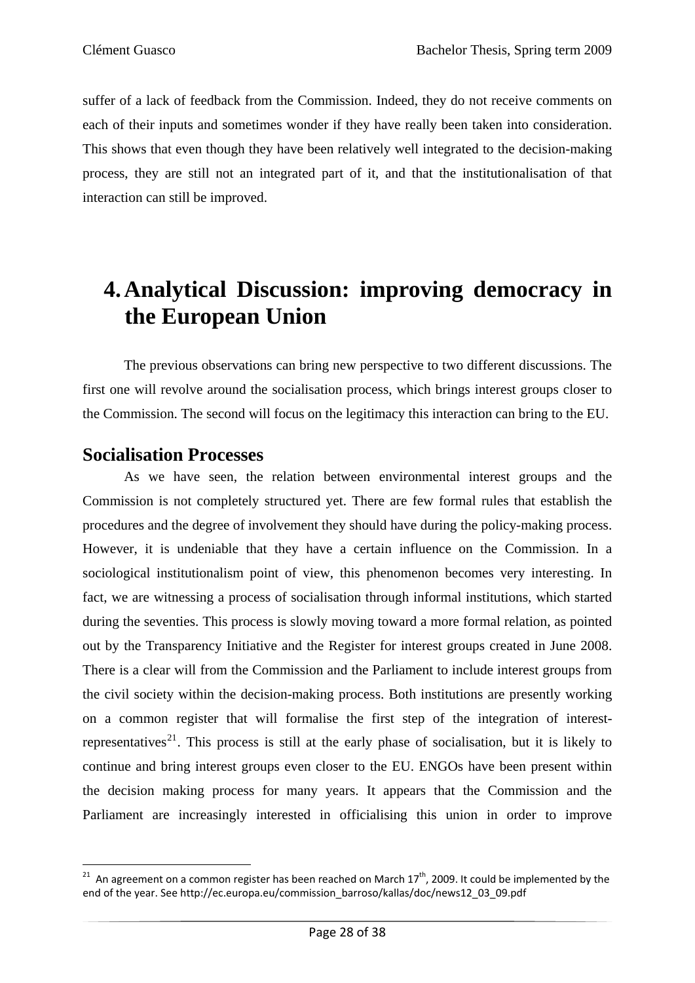suffer of a lack of feedback from the Commission. Indeed, they do not receive comments on each of their inputs and sometimes wonder if they have really been taken into consideration. This shows that even though they have been relatively well integrated to the decision-making process, they are still not an integrated part of it, and that the institutionalisation of that interaction can still be improved.

## **4.Analytical Discussion: improving democracy in the European Union**

The previous observations can bring new perspective to two different discussions. The first one will revolve around the socialisation process, which brings interest groups closer to the Commission. The second will focus on the legitimacy this interaction can bring to the EU.

### **Socialisation Processes**

As we have seen, the relation between environmental interest groups and the Commission is not completely structured yet. There are few formal rules that establish the procedures and the degree of involvement they should have during the policy-making process. However, it is undeniable that they have a certain influence on the Commission. In a sociological institutionalism point of view, this phenomenon becomes very interesting. In fact, we are witnessing a process of socialisation through informal institutions, which started during the seventies. This process is slowly moving toward a more formal relation, as pointed out by the Transparency Initiative and the Register for interest groups created in June 2008. There is a clear will from the Commission and the Parliament to include interest groups from the civil society within the decision-making process. Both institutions are presently working on a common register that will formalise the first step of the integration of interest-representatives<sup>[21](#page-33-0)</sup>. This process is still at the early phase of socialisation, but it is likely to continue and bring interest groups even closer to the EU. ENGOs have been present within the decision making process for many years. It appears that the Commission and the Parliament are increasingly interested in officialising this union in order to improve

<span id="page-33-0"></span> <sup>21</sup> An agreement on a common register has been reached on March 17<sup>th</sup>, 2009. It could be implemented by the end of the year. See http://ec.europa.eu/commission\_barroso/kallas/doc/news12\_03\_09.pdf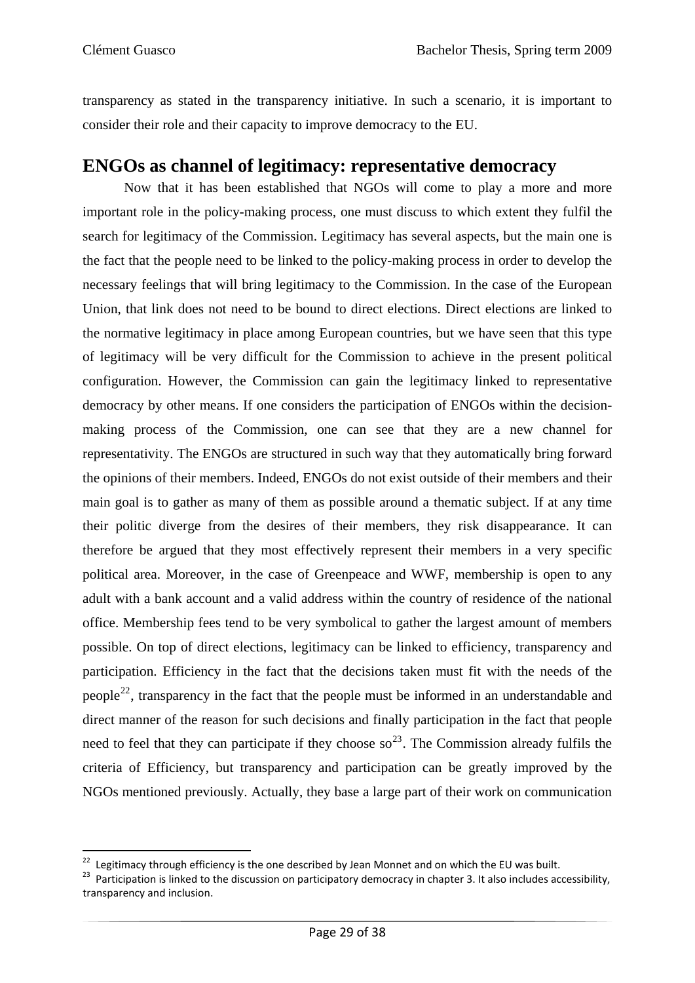transparency as stated in the transparency initiative. In such a scenario, it is important to consider their role and their capacity to improve democracy to the EU.

### **ENGOs as channel of legitimacy: representative democracy**

Now that it has been established that NGOs will come to play a more and more important role in the policy-making process, one must discuss to which extent they fulfil the search for legitimacy of the Commission. Legitimacy has several aspects, but the main one is the fact that the people need to be linked to the policy-making process in order to develop the necessary feelings that will bring legitimacy to the Commission. In the case of the European Union, that link does not need to be bound to direct elections. Direct elections are linked to the normative legitimacy in place among European countries, but we have seen that this type of legitimacy will be very difficult for the Commission to achieve in the present political configuration. However, the Commission can gain the legitimacy linked to representative democracy by other means. If one considers the participation of ENGOs within the decisionmaking process of the Commission, one can see that they are a new channel for representativity. The ENGOs are structured in such way that they automatically bring forward the opinions of their members. Indeed, ENGOs do not exist outside of their members and their main goal is to gather as many of them as possible around a thematic subject. If at any time their politic diverge from the desires of their members, they risk disappearance. It can therefore be argued that they most effectively represent their members in a very specific political area. Moreover, in the case of Greenpeace and WWF, membership is open to any adult with a bank account and a valid address within the country of residence of the national office. Membership fees tend to be very symbolical to gather the largest amount of members possible. On top of direct elections, legitimacy can be linked to efficiency, transparency and participation. Efficiency in the fact that the decisions taken must fit with the needs of the people<sup>[22](#page-34-0)</sup>, transparency in the fact that the people must be informed in an understandable and direct manner of the reason for such decisions and finally participation in the fact that people need to feel that they can participate if they choose so<sup>[23](#page-34-1)</sup>. The Commission already fulfils the criteria of Efficiency, but transparency and participation can be greatly improved by the NGOs mentioned previously. Actually, they base a large part of their work on communication

<span id="page-34-0"></span><sup>&</sup>lt;sup>22</sup> Legitimacy through efficiency is the one described by Jean Monnet and on which the EU was built.

<span id="page-34-1"></span><sup>&</sup>lt;sup>23</sup> Participation is linked to the discussion on participatory democracy in chapter 3. It also includes accessibility, transparency and inclusion.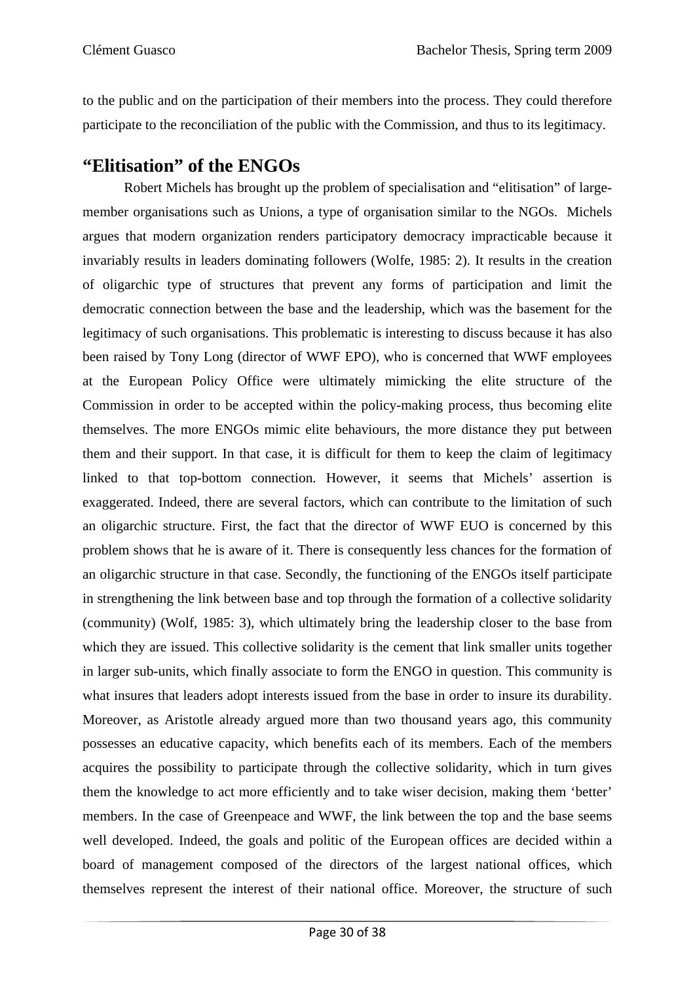to the public and on the participation of their members into the process. They could therefore participate to the reconciliation of the public with the Commission, and thus to its legitimacy.

### **"Elitisation" of the ENGOs**

Robert Michels has brought up the problem of specialisation and "elitisation" of largemember organisations such as Unions, a type of organisation similar to the NGOs. Michels argues that modern organization renders participatory democracy impracticable because it invariably results in leaders dominating followers (Wolfe, 1985: 2). It results in the creation of oligarchic type of structures that prevent any forms of participation and limit the democratic connection between the base and the leadership, which was the basement for the legitimacy of such organisations. This problematic is interesting to discuss because it has also been raised by Tony Long (director of WWF EPO), who is concerned that WWF employees at the European Policy Office were ultimately mimicking the elite structure of the Commission in order to be accepted within the policy-making process, thus becoming elite themselves. The more ENGOs mimic elite behaviours, the more distance they put between them and their support. In that case, it is difficult for them to keep the claim of legitimacy linked to that top-bottom connection. However, it seems that Michels' assertion is exaggerated. Indeed, there are several factors, which can contribute to the limitation of such an oligarchic structure. First, the fact that the director of WWF EUO is concerned by this problem shows that he is aware of it. There is consequently less chances for the formation of an oligarchic structure in that case. Secondly, the functioning of the ENGOs itself participate in strengthening the link between base and top through the formation of a collective solidarity (community) (Wolf, 1985: 3), which ultimately bring the leadership closer to the base from which they are issued. This collective solidarity is the cement that link smaller units together in larger sub-units, which finally associate to form the ENGO in question. This community is what insures that leaders adopt interests issued from the base in order to insure its durability. Moreover, as Aristotle already argued more than two thousand years ago, this community possesses an educative capacity, which benefits each of its members. Each of the members acquires the possibility to participate through the collective solidarity, which in turn gives them the knowledge to act more efficiently and to take wiser decision, making them 'better' members. In the case of Greenpeace and WWF, the link between the top and the base seems well developed. Indeed, the goals and politic of the European offices are decided within a board of management composed of the directors of the largest national offices, which themselves represent the interest of their national office. Moreover, the structure of such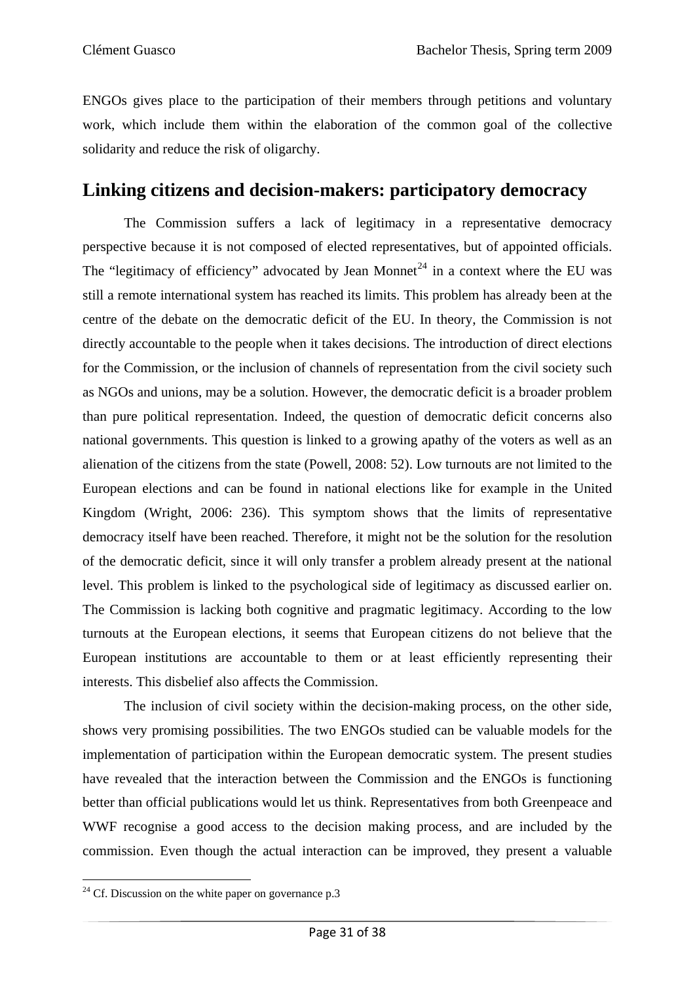ENGOs gives place to the participation of their members through petitions and voluntary work, which include them within the elaboration of the common goal of the collective solidarity and reduce the risk of oligarchy.

### **Linking citizens and decision-makers: participatory democracy**

 The Commission suffers a lack of legitimacy in a representative democracy perspective because it is not composed of elected representatives, but of appointed officials. The "legitimacy of efficiency" advocated by Jean Monnet<sup>[24](#page-36-0)</sup> in a context where the EU was still a remote international system has reached its limits. This problem has already been at the centre of the debate on the democratic deficit of the EU. In theory, the Commission is not directly accountable to the people when it takes decisions. The introduction of direct elections for the Commission, or the inclusion of channels of representation from the civil society such as NGOs and unions, may be a solution. However, the democratic deficit is a broader problem than pure political representation. Indeed, the question of democratic deficit concerns also national governments. This question is linked to a growing apathy of the voters as well as an alienation of the citizens from the state (Powell, 2008: 52). Low turnouts are not limited to the European elections and can be found in national elections like for example in the United Kingdom (Wright, 2006: 236). This symptom shows that the limits of representative democracy itself have been reached. Therefore, it might not be the solution for the resolution of the democratic deficit, since it will only transfer a problem already present at the national level. This problem is linked to the psychological side of legitimacy as discussed earlier on. The Commission is lacking both cognitive and pragmatic legitimacy. According to the low turnouts at the European elections, it seems that European citizens do not believe that the European institutions are accountable to them or at least efficiently representing their interests. This disbelief also affects the Commission.

The inclusion of civil society within the decision-making process, on the other side, shows very promising possibilities. The two ENGOs studied can be valuable models for the implementation of participation within the European democratic system. The present studies have revealed that the interaction between the Commission and the ENGOs is functioning better than official publications would let us think. Representatives from both Greenpeace and WWF recognise a good access to the decision making process, and are included by the commission. Even though the actual interaction can be improved, they present a valuable

<span id="page-36-0"></span> $^{24}$  Cf. Discussion on the white paper on governance p.3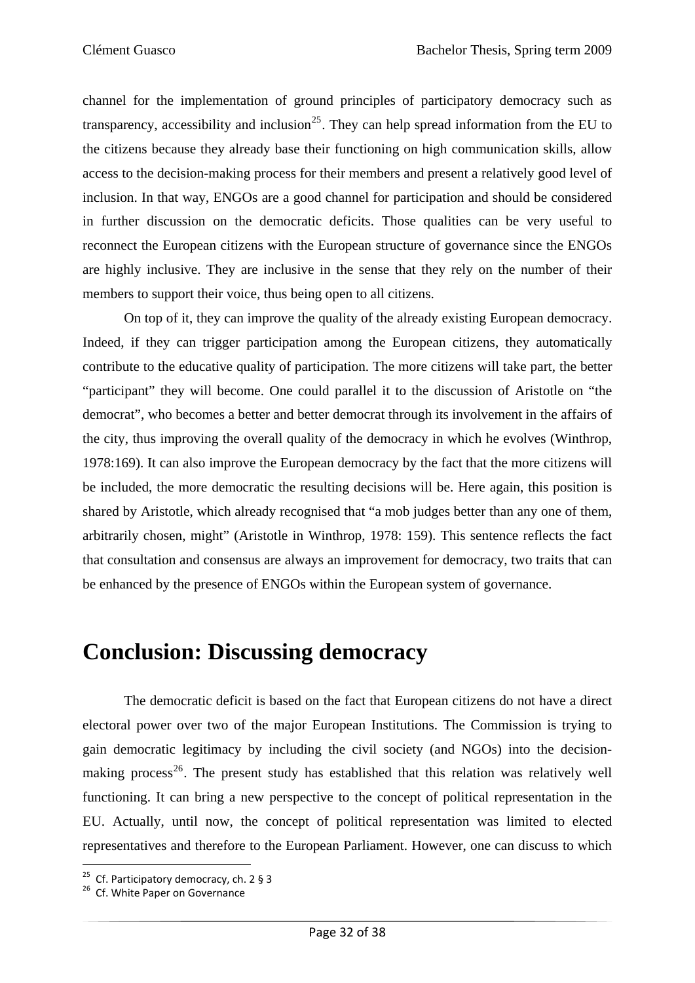channel for the implementation of ground principles of participatory democracy such as transparency, accessibility and inclusion<sup>[25](#page-37-0)</sup>. They can help spread information from the EU to the citizens because they already base their functioning on high communication skills, allow access to the decision-making process for their members and present a relatively good level of inclusion. In that way, ENGOs are a good channel for participation and should be considered in further discussion on the democratic deficits. Those qualities can be very useful to reconnect the European citizens with the European structure of governance since the ENGOs are highly inclusive. They are inclusive in the sense that they rely on the number of their members to support their voice, thus being open to all citizens.

On top of it, they can improve the quality of the already existing European democracy. Indeed, if they can trigger participation among the European citizens, they automatically contribute to the educative quality of participation. The more citizens will take part, the better "participant" they will become. One could parallel it to the discussion of Aristotle on "the democrat", who becomes a better and better democrat through its involvement in the affairs of the city, thus improving the overall quality of the democracy in which he evolves (Winthrop, 1978:169). It can also improve the European democracy by the fact that the more citizens will be included, the more democratic the resulting decisions will be. Here again, this position is shared by Aristotle, which already recognised that "a mob judges better than any one of them, arbitrarily chosen, might" (Aristotle in Winthrop, 1978: 159). This sentence reflects the fact that consultation and consensus are always an improvement for democracy, two traits that can be enhanced by the presence of ENGOs within the European system of governance.

## **Conclusion: Discussing democracy**

The democratic deficit is based on the fact that European citizens do not have a direct electoral power over two of the major European Institutions. The Commission is trying to gain democratic legitimacy by including the civil society (and NGOs) into the decision-making process<sup>[26](#page-37-1)</sup>. The present study has established that this relation was relatively well functioning. It can bring a new perspective to the concept of political representation in the EU. Actually, until now, the concept of political representation was limited to elected representatives and therefore to the European Parliament. However, one can discuss to which

<span id="page-37-0"></span><sup>&</sup>lt;sup>25</sup> Cf. Participatory democracy, ch. 2 § 3<br><sup>26</sup> Cf. White Paper on Governance

<span id="page-37-1"></span>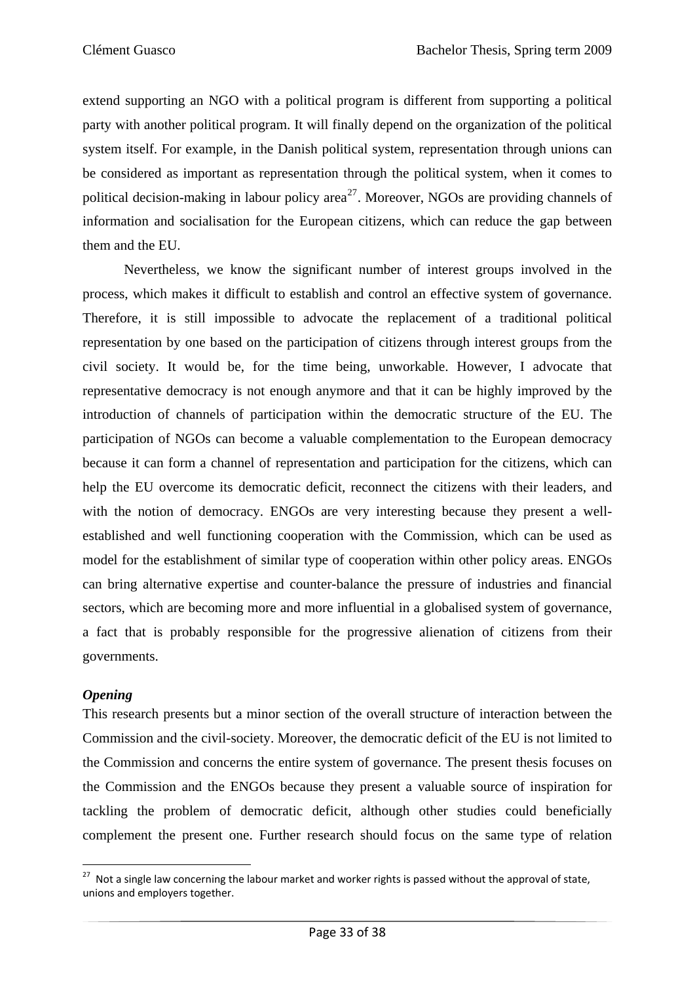extend supporting an NGO with a political program is different from supporting a political party with another political program. It will finally depend on the organization of the political system itself. For example, in the Danish political system, representation through unions can be considered as important as representation through the political system, when it comes to political decision-making in labour policy area<sup>[27](#page-38-0)</sup>. Moreover, NGOs are providing channels of information and socialisation for the European citizens, which can reduce the gap between them and the EU.

Nevertheless, we know the significant number of interest groups involved in the process, which makes it difficult to establish and control an effective system of governance. Therefore, it is still impossible to advocate the replacement of a traditional political representation by one based on the participation of citizens through interest groups from the civil society. It would be, for the time being, unworkable. However, I advocate that representative democracy is not enough anymore and that it can be highly improved by the introduction of channels of participation within the democratic structure of the EU. The participation of NGOs can become a valuable complementation to the European democracy because it can form a channel of representation and participation for the citizens, which can help the EU overcome its democratic deficit, reconnect the citizens with their leaders, and with the notion of democracy. ENGOs are very interesting because they present a wellestablished and well functioning cooperation with the Commission, which can be used as model for the establishment of similar type of cooperation within other policy areas. ENGOs can bring alternative expertise and counter-balance the pressure of industries and financial sectors, which are becoming more and more influential in a globalised system of governance, a fact that is probably responsible for the progressive alienation of citizens from their governments.

#### *Opening*

This research presents but a minor section of the overall structure of interaction between the Commission and the civil-society. Moreover, the democratic deficit of the EU is not limited to the Commission and concerns the entire system of governance. The present thesis focuses on the Commission and the ENGOs because they present a valuable source of inspiration for tackling the problem of democratic deficit, although other studies could beneficially complement the present one. Further research should focus on the same type of relation

<span id="page-38-0"></span>  $27$  Not a single law concerning the labour market and worker rights is passed without the approval of state, unions and employers together.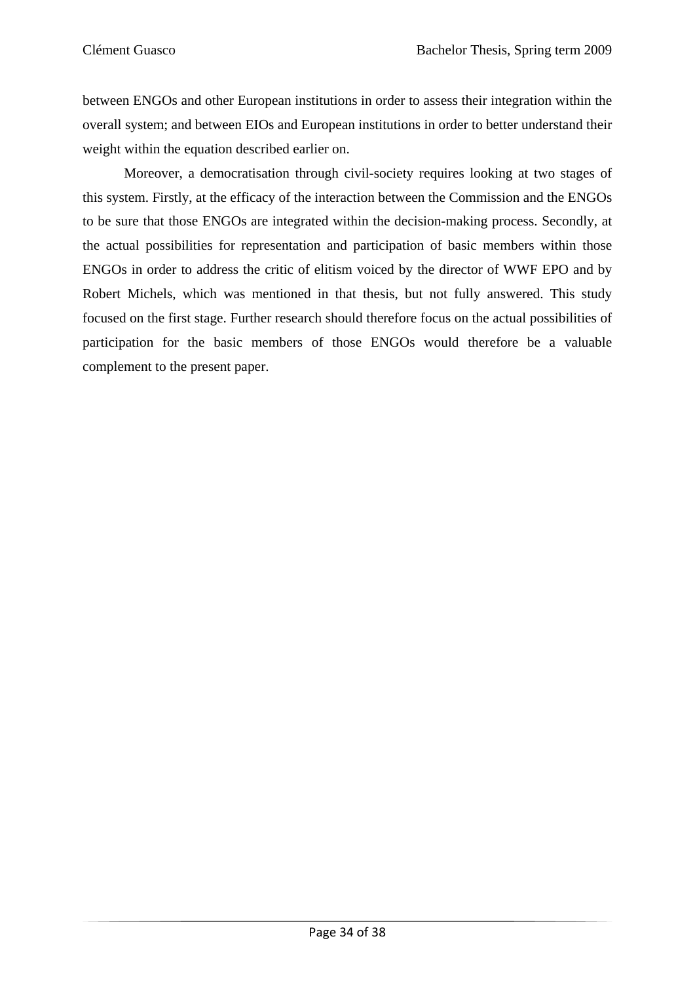between ENGOs and other European institutions in order to assess their integration within the overall system; and between EIOs and European institutions in order to better understand their weight within the equation described earlier on.

Moreover, a democratisation through civil-society requires looking at two stages of this system. Firstly, at the efficacy of the interaction between the Commission and the ENGOs to be sure that those ENGOs are integrated within the decision-making process. Secondly, at the actual possibilities for representation and participation of basic members within those ENGOs in order to address the critic of elitism voiced by the director of WWF EPO and by Robert Michels, which was mentioned in that thesis, but not fully answered. This study focused on the first stage. Further research should therefore focus on the actual possibilities of participation for the basic members of those ENGOs would therefore be a valuable complement to the present paper.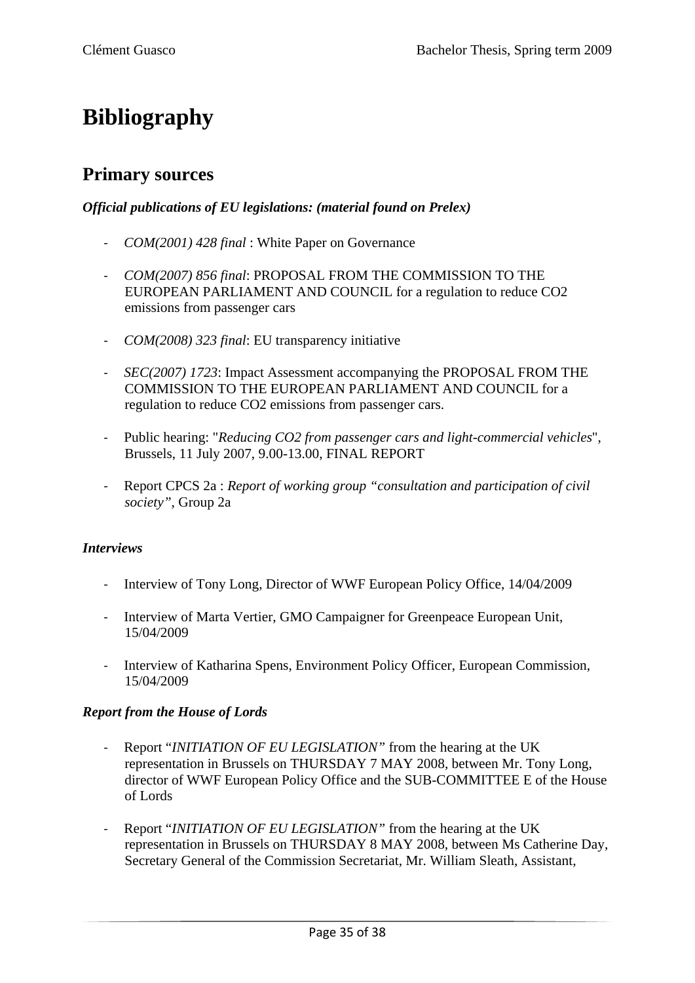# **Bibliography**

### **Primary sources**

#### *Official publications of EU legislations: (material found on Prelex)*

- ‐ *COM(2001) 428 final* : White Paper on Governance
- ‐ *COM(2007) 856 final*: PROPOSAL FROM THE COMMISSION TO THE EUROPEAN PARLIAMENT AND COUNCIL for a regulation to reduce CO2 emissions from passenger cars
- ‐ *COM(2008) 323 final*: EU transparency initiative
- ‐ *SEC(2007) 1723*: Impact Assessment accompanying the PROPOSAL FROM THE COMMISSION TO THE EUROPEAN PARLIAMENT AND COUNCIL for a regulation to reduce CO2 emissions from passenger cars.
- ‐ Public hearing: "*Reducing CO2 from passenger cars and light-commercial vehicles*", Brussels, 11 July 2007, 9.00-13.00, FINAL REPORT
- ‐ Report CPCS 2a : *Report of working group "consultation and participation of civil society"*, Group 2a

#### *Interviews*

- ‐ Interview of Tony Long, Director of WWF European Policy Office, 14/04/2009
- ‐ Interview of Marta Vertier, GMO Campaigner for Greenpeace European Unit, 15/04/2009
- ‐ Interview of Katharina Spens, Environment Policy Officer, European Commission, 15/04/2009

#### *Report from the House of Lords*

- ‐ Report "*INITIATION OF EU LEGISLATION"* from the hearing at the UK representation in Brussels on THURSDAY 7 MAY 2008, between Mr. Tony Long, director of WWF European Policy Office and the SUB-COMMITTEE E of the House of Lords
- ‐ Report "*INITIATION OF EU LEGISLATION"* from the hearing at the UK representation in Brussels on THURSDAY 8 MAY 2008, between Ms Catherine Day, Secretary General of the Commission Secretariat, Mr. William Sleath, Assistant,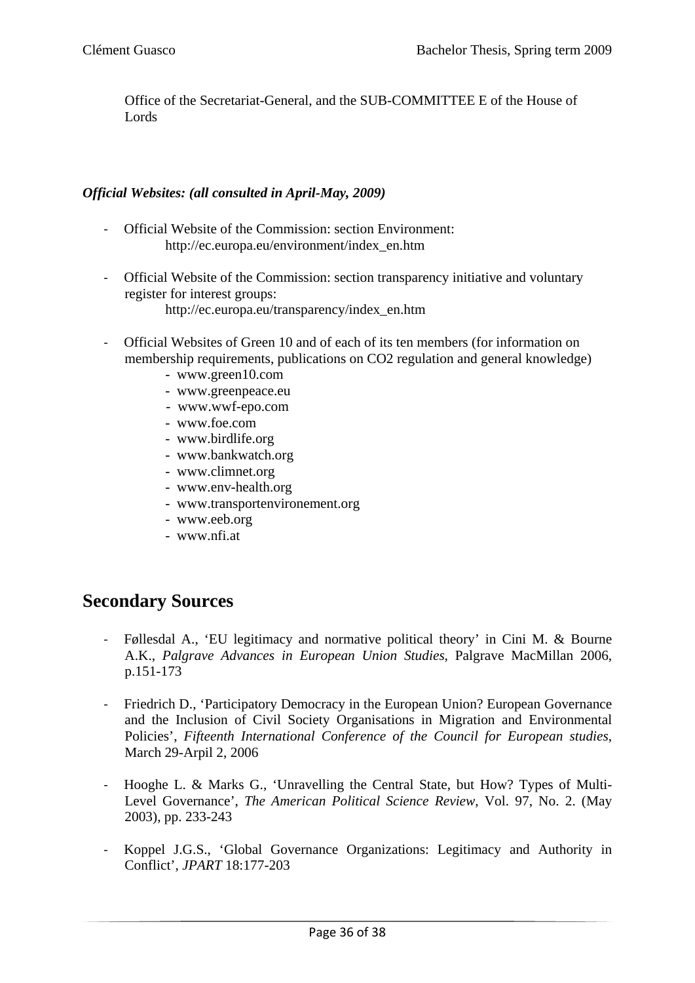Office of the Secretariat-General, and the SUB-COMMITTEE E of the House of Lords

#### *Official Websites: (all consulted in April-May, 2009)*

- ‐ Official Website of the Commission: section Environment: [http://ec.europa.eu/environment/index\\_en.htm](http://ec.europa.eu/environment/index_en.htm)
- ‐ Official Website of the Commission: section transparency initiative and voluntary register for interest groups: http://ec.europa.eu/transparency/index\_en.htm
- ‐ Official Websites of Green 10 and of each of its ten members (for information on membership requirements, publications on CO2 regulation and general knowledge)
	- [www.green10.com](http://www.green10.com/)
	- [www.greenpeace.eu](http://www.greenpeace.eu/)
	- [www.wwf-epo.com](http://www.wwf-epo.com/)
	- [www.foe.com](http://www.foe.com/)
	- [www.birdlife.org](http://www.birdlife.org/)
	- [www.bankwatch.org](http://www.bankwatch.org/)
	- [www.climnet.org](http://www.climnet.org/)
	- [www.env-health.org](http://www.env-health.org/)
	- [www.transportenvironement.org](http://www.transportenvironement.org/)
	- [www.eeb.org](http://www.eeb.org/)
	- [www.nfi.at](http://www.nfi.at/)

### **Secondary Sources**

- ‐ Føllesdal A., 'EU legitimacy and normative political theory' in Cini M. & Bourne A.K., *Palgrave Advances in European Union Studies*, Palgrave MacMillan 2006, p.151-173
- ‐ Friedrich D., 'Participatory Democracy in the European Union? European Governance and the Inclusion of Civil Society Organisations in Migration and Environmental Policies', *Fifteenth International Conference of the Council for European studies*, March 29-Arpil 2, 2006
- ‐ Hooghe L. & Marks G., 'Unravelling the Central State, but How? Types of Multi-Level Governance', *The American Political Science Review*, Vol. 97, No. 2. (May 2003), pp. 233-243
- ‐ Koppel J.G.S., 'Global Governance Organizations: Legitimacy and Authority in Conflict', *JPART* 18:177-203